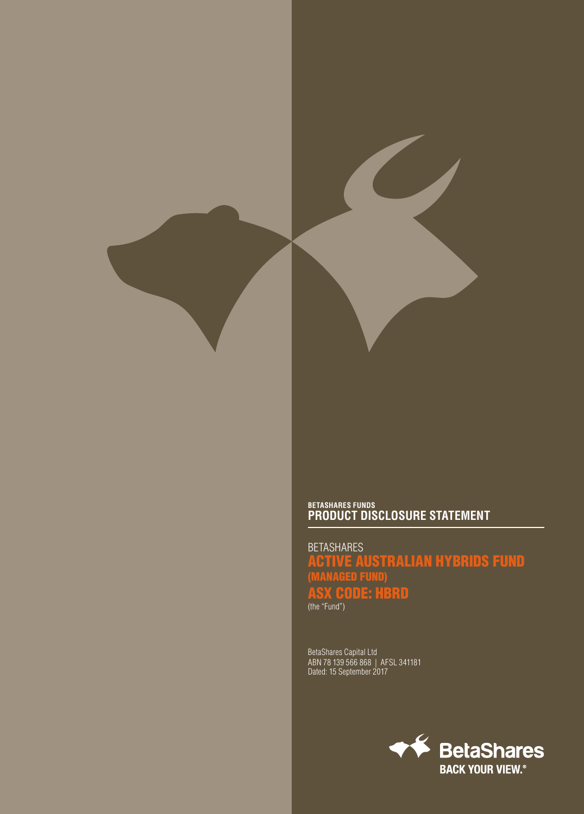## **BETASHARES FUNDS PRODUCT DISCLOSURE STATEMENT**

BETASHARES ACTIVE AUSTRALIAN HYBRIDS FUND (MANAGED FUND) ASX CODE: HBRD (the "Fund")

BetaShares Capital Ltd ABN 78 139 566 868 | AFSL 341181 Dated: 15 September 2017

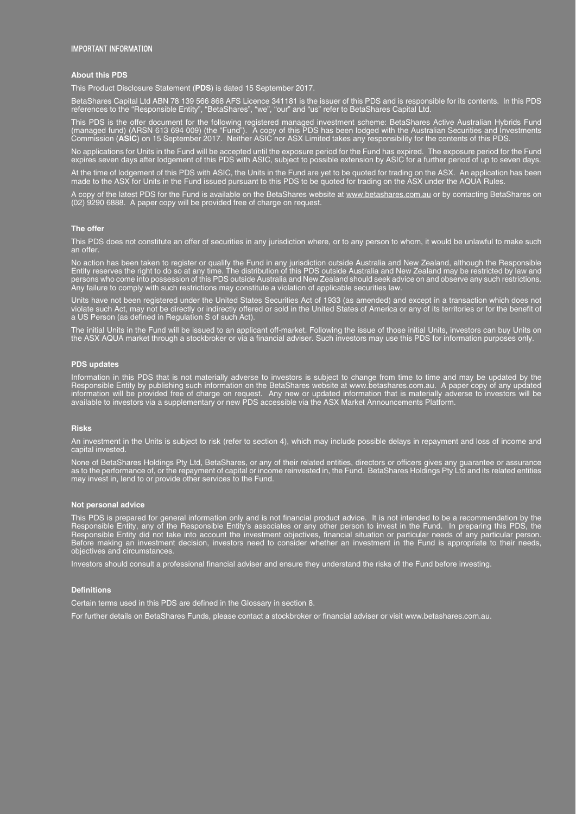#### IMPORTANT INFORMATION

#### **About this PDS**

This Product Disclosure Statement (**PDS**) is dated 15 September 2017.

BetaShares Capital Ltd ABN 78 139 566 868 AFS Licence 341181 is the issuer of this PDS and is responsible for its contents. In this PDS references to the "Responsible Entity", "BetaShares", "we", "our" and "us" refer to BetaShares Capital Ltd.

This PDS is the offer document for the following registered managed investment scheme: BetaShares Active Australian Hybrids Fund (managed fund) (ARSN 613 694 009) (the "Fund"). A copy of this PDS has been lodged with the Australian Securities and Investments Commission (**ASIC**) on 15 September 2017. Neither ASIC nor ASX Limited takes any responsibility for the contents of this PDS.

No applications for Units in the Fund will be accepted until the exposure period for the Fund has expired. The exposure period for the Fund expires seven days after lodgement of this PDS with ASIC, subject to possible extension by ASIC for a further period of up to seven days. At the time of lodgement of this PDS with ASIC, the Units in the Fund are yet to be quoted for trading on the ASX. An application has been

made to the ASX for Units in the Fund issued pursuant to this PDS to be quoted for trading on the ASX under the AQUA Rules.

A copy of the latest PDS for the Fund is available on the BetaShares website at <u>www.betashares.com.au</u> or by contacting BetaShares on (02) 9290 6888. A paper copy will be provided free of charge on request.

#### **The offer**

This PDS does not constitute an offer of securities in any jurisdiction where, or to any person to whom, it would be unlawful to make such an offer.

No action has been taken to register or qualify the Fund in any jurisdiction outside Australia and New Zealand, although the Responsible Entity reserves the right to do so at any time. The distribution of this PDS outside Australia and New Zealand may be restricted by law and persons who come into possession of this PDS outside Australia and New Zealand should seek advice on and observe any such restrictions. Any failure to comply with such restrictions may constitute a violation of applicable securities law.

Units have not been registered under the United States Securities Act of 1933 (as amended) and except in a transaction which does not violate such Act, may not be directly or indirectly offered or sold in the United States of America or any of its territories or for the benefit of a US Person (as defined in Regulation S of such Act).

The initial Units in the Fund will be issued to an applicant off-market. Following the issue of those initial Units, investors can buy Units on the ASX AQUA market through a stockbroker or via a financial adviser. Such investors may use this PDS for information purposes only.

#### **PDS updates**

Information in this PDS that is not materially adverse to investors is subject to change from time to time and may be updated by the Responsible Entity by publishing such information on the BetaShares website at www.betashares.com.au. A paper copy of any updated information will be provided free of charge on request. Any new or updated information that is materially adverse to investors will be available to investors via a supplementary or new PDS accessible via the ASX Market Announcements Platform.

#### **Risks**

An investment in the Units is subject to risk (refer to section 4), which may include possible delays in repayment and loss of income and capital invested.

None of BetaShares Holdings Pty Ltd, BetaShares, or any of their related entities, directors or officers gives any guarantee or assurance as to the performance of, or the repayment of capital or income reinvested in, the Fund. BetaShares Holdings Pty Ltd and its related entities may invest in, lend to or provide other services to the Fund.

#### **Not personal advice**

This PDS is prepared for general information only and is not financial product advice. It is not intended to be a recommendation by the Responsible Entity, any of the Responsible Entity's associates or any other person to invest in the Fund. In preparing this PDS, the Responsible Entity did not take into account the investment objectives, financial situation or particular needs of any particular person. Before making an investment decision, investors need to consider whether an investment in the Fund is appropriate to their needs, objectives and circumstances.

Investors should consult a professional financial adviser and ensure they understand the risks of the Fund before investing.

#### **Definitions**

Certain terms used in this PDS are defined in the Glossary in section 8.

For further details on BetaShares Funds, please contact a stockbroker or financial adviser or visit www.betashares.com.au.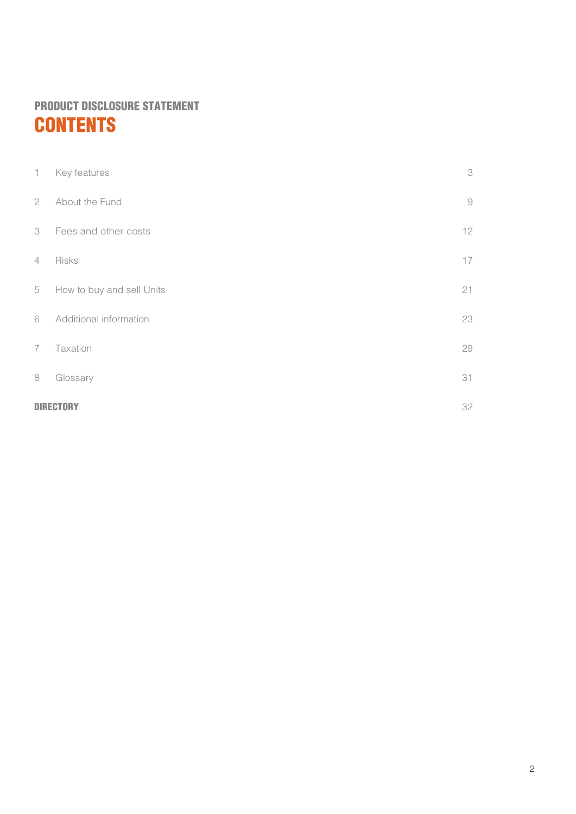## PRODUCT DISCLOSURE STATEMENT **CONTENTS**

|                | 32<br>DIRECT              |                            |
|----------------|---------------------------|----------------------------|
| 8              | Glossary                  | 31                         |
| $\overline{7}$ | Taxation                  | 29                         |
| 6              | Additional information    | 23                         |
| 5              | How to buy and sell Units | 21                         |
| $\overline{4}$ | Risks                     | 17                         |
| 3              | Fees and other costs      | 12                         |
| 2              | About the Fund            | $\Theta$                   |
| $\mathbf{1}$   | Key features              | $\ensuremath{\mathcal{S}}$ |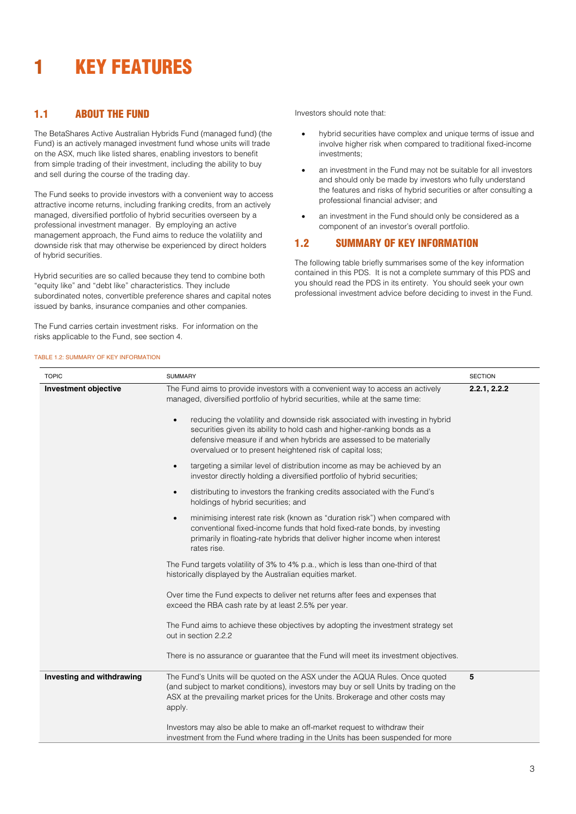## <span id="page-3-0"></span>**KEY FEATURES**

## 1.1 ABOUT THE FUND

The BetaShares Active Australian Hybrids Fund (managed fund) (the Fund) is an actively managed investment fund whose units will trade on the ASX, much like listed shares, enabling investors to benefit from simple trading of their investment, including the ability to buy and sell during the course of the trading day.

The Fund seeks to provide investors with a convenient way to access attractive income returns, including franking credits, from an actively managed, diversified portfolio of hybrid securities overseen by a professional investment manager. By employing an active management approach, the Fund aims to reduce the volatility and downside risk that may otherwise be experienced by direct holders of hybrid securities.

Hybrid securities are so called because they tend to combine both "equity like" and "debt like" characteristics. They include subordinated notes, convertible preference shares and capital notes issued by banks, insurance companies and other companies.

The Fund carries certain investment risks. For information on the risks applicable to the Fund, see section 4.

Investors should note that:

- hybrid securities have complex and unique terms of issue and involve higher risk when compared to traditional fixed-income investments;
- an investment in the Fund may not be suitable for all investors and should only be made by investors who fully understand the features and risks of hybrid securities or after consulting a professional financial adviser; and
- an investment in the Fund should only be considered as a component of an investor's overall portfolio.

## 1.2 SUMMARY OF KEY INFORMATION

The following table briefly summarises some of the key information contained in this PDS. It is not a complete summary of this PDS and you should read the PDS in its entirety. You should seek your own professional investment advice before deciding to invest in the Fund.

## TABLE 1.2: SUMMARY OF KEY INFORMATION

| <b>TOPIC</b>                | <b>SUMMARY</b>                                                                                                                                                                                                                                                                                            | <b>SECTION</b> |
|-----------------------------|-----------------------------------------------------------------------------------------------------------------------------------------------------------------------------------------------------------------------------------------------------------------------------------------------------------|----------------|
| <b>Investment objective</b> | The Fund aims to provide investors with a convenient way to access an actively<br>managed, diversified portfolio of hybrid securities, while at the same time:                                                                                                                                            | 2.2.1, 2.2.2   |
|                             | reducing the volatility and downside risk associated with investing in hybrid<br>$\bullet$<br>securities given its ability to hold cash and higher-ranking bonds as a<br>defensive measure if and when hybrids are assessed to be materially<br>overvalued or to present heightened risk of capital loss; |                |
|                             | targeting a similar level of distribution income as may be achieved by an<br>$\bullet$<br>investor directly holding a diversified portfolio of hybrid securities;                                                                                                                                         |                |
|                             | distributing to investors the franking credits associated with the Fund's<br>$\bullet$<br>holdings of hybrid securities; and                                                                                                                                                                              |                |
|                             | minimising interest rate risk (known as "duration risk") when compared with<br>$\bullet$<br>conventional fixed-income funds that hold fixed-rate bonds, by investing<br>primarily in floating-rate hybrids that deliver higher income when interest<br>rates rise.                                        |                |
|                             | The Fund targets volatility of 3% to 4% p.a., which is less than one-third of that<br>historically displayed by the Australian equities market.                                                                                                                                                           |                |
|                             | Over time the Fund expects to deliver net returns after fees and expenses that<br>exceed the RBA cash rate by at least 2.5% per year.                                                                                                                                                                     |                |
|                             | The Fund aims to achieve these objectives by adopting the investment strategy set<br>out in section 2.2.2                                                                                                                                                                                                 |                |
|                             | There is no assurance or guarantee that the Fund will meet its investment objectives.                                                                                                                                                                                                                     |                |
| Investing and withdrawing   | The Fund's Units will be quoted on the ASX under the AQUA Rules. Once quoted<br>(and subject to market conditions), investors may buy or sell Units by trading on the<br>ASX at the prevailing market prices for the Units. Brokerage and other costs may<br>apply.                                       | 5              |
|                             | Investors may also be able to make an off-market request to withdraw their<br>investment from the Fund where trading in the Units has been suspended for more                                                                                                                                             |                |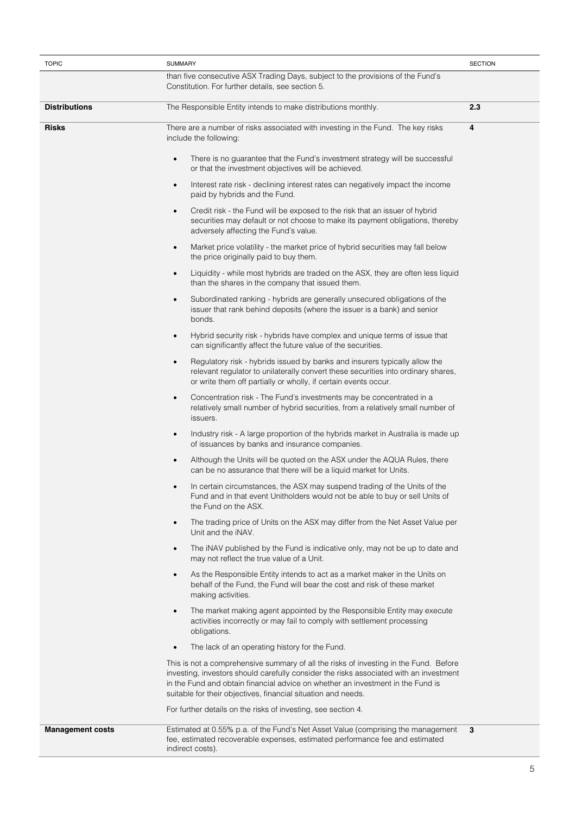| <b>TOPIC</b>            | <b>SUMMARY</b>                                                                                                                                                                                                                                                                                                                      | <b>SECTION</b> |
|-------------------------|-------------------------------------------------------------------------------------------------------------------------------------------------------------------------------------------------------------------------------------------------------------------------------------------------------------------------------------|----------------|
|                         | than five consecutive ASX Trading Days, subject to the provisions of the Fund's<br>Constitution. For further details, see section 5.                                                                                                                                                                                                |                |
| <b>Distributions</b>    | The Responsible Entity intends to make distributions monthly.                                                                                                                                                                                                                                                                       | 2.3            |
| <b>Risks</b>            | There are a number of risks associated with investing in the Fund. The key risks<br>include the following:                                                                                                                                                                                                                          | 4              |
|                         | There is no guarantee that the Fund's investment strategy will be successful<br>or that the investment objectives will be achieved.                                                                                                                                                                                                 |                |
|                         | Interest rate risk - declining interest rates can negatively impact the income<br>$\bullet$<br>paid by hybrids and the Fund.                                                                                                                                                                                                        |                |
|                         | Credit risk - the Fund will be exposed to the risk that an issuer of hybrid<br>$\bullet$<br>securities may default or not choose to make its payment obligations, thereby<br>adversely affecting the Fund's value.                                                                                                                  |                |
|                         | Market price volatility - the market price of hybrid securities may fall below<br>$\bullet$<br>the price originally paid to buy them.                                                                                                                                                                                               |                |
|                         | Liquidity - while most hybrids are traded on the ASX, they are often less liquid<br>$\bullet$<br>than the shares in the company that issued them.                                                                                                                                                                                   |                |
|                         | Subordinated ranking - hybrids are generally unsecured obligations of the<br>$\bullet$<br>issuer that rank behind deposits (where the issuer is a bank) and senior<br>bonds.                                                                                                                                                        |                |
|                         | Hybrid security risk - hybrids have complex and unique terms of issue that<br>$\bullet$<br>can significantly affect the future value of the securities.                                                                                                                                                                             |                |
|                         | Regulatory risk - hybrids issued by banks and insurers typically allow the<br>$\bullet$<br>relevant regulator to unilaterally convert these securities into ordinary shares,<br>or write them off partially or wholly, if certain events occur.                                                                                     |                |
|                         | Concentration risk - The Fund's investments may be concentrated in a<br>$\bullet$<br>relatively small number of hybrid securities, from a relatively small number of<br>issuers.                                                                                                                                                    |                |
|                         | Industry risk - A large proportion of the hybrids market in Australia is made up<br>$\bullet$<br>of issuances by banks and insurance companies.                                                                                                                                                                                     |                |
|                         | Although the Units will be quoted on the ASX under the AQUA Rules, there<br>$\bullet$<br>can be no assurance that there will be a liquid market for Units.                                                                                                                                                                          |                |
|                         | In certain circumstances, the ASX may suspend trading of the Units of the<br>Fund and in that event Unitholders would not be able to buy or sell Units of<br>the Fund on the ASX.                                                                                                                                                   |                |
|                         | The trading price of Units on the ASX may differ from the Net Asset Value per<br>$\bullet$<br>Unit and the iNAV.                                                                                                                                                                                                                    |                |
|                         | The iNAV published by the Fund is indicative only, may not be up to date and<br>$\bullet$<br>may not reflect the true value of a Unit.                                                                                                                                                                                              |                |
|                         | As the Responsible Entity intends to act as a market maker in the Units on<br>$\bullet$<br>behalf of the Fund, the Fund will bear the cost and risk of these market<br>making activities.                                                                                                                                           |                |
|                         | The market making agent appointed by the Responsible Entity may execute<br>$\bullet$<br>activities incorrectly or may fail to comply with settlement processing<br>obligations.                                                                                                                                                     |                |
|                         | The lack of an operating history for the Fund.<br>$\bullet$                                                                                                                                                                                                                                                                         |                |
|                         | This is not a comprehensive summary of all the risks of investing in the Fund. Before<br>investing, investors should carefully consider the risks associated with an investment<br>in the Fund and obtain financial advice on whether an investment in the Fund is<br>suitable for their objectives, financial situation and needs. |                |
|                         | For further details on the risks of investing, see section 4.                                                                                                                                                                                                                                                                       |                |
| <b>Management costs</b> | Estimated at 0.55% p.a. of the Fund's Net Asset Value (comprising the management<br>3<br>fee, estimated recoverable expenses, estimated performance fee and estimated<br>indirect costs).                                                                                                                                           |                |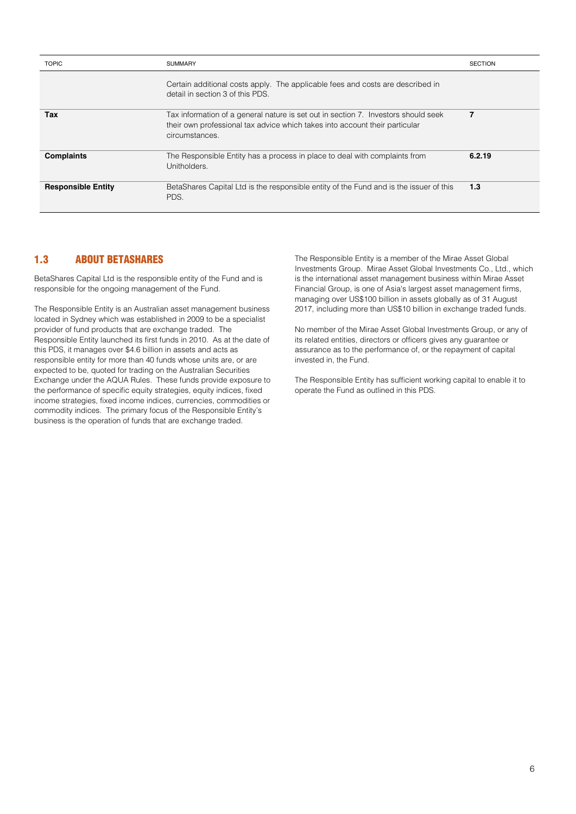| <b>TOPIC</b>              | <b>SUMMARY</b>                                                                                                                                                                      | <b>SECTION</b> |
|---------------------------|-------------------------------------------------------------------------------------------------------------------------------------------------------------------------------------|----------------|
|                           | Certain additional costs apply. The applicable fees and costs are described in<br>detail in section 3 of this PDS.                                                                  |                |
| Tax                       | Tax information of a general nature is set out in section 7. Investors should seek<br>their own professional tax advice which takes into account their particular<br>circumstances. | 7              |
| <b>Complaints</b>         | The Responsible Entity has a process in place to deal with complaints from<br>Unitholders.                                                                                          | 6.2.19         |
| <b>Responsible Entity</b> | BetaShares Capital Ltd is the responsible entity of the Fund and is the issuer of this<br>PDS.                                                                                      | 1.3            |

## <span id="page-5-0"></span>1.3 ABOUT BETASHARES

BetaShares Capital Ltd is the responsible entity of the Fund and is responsible for the ongoing management of the Fund.

The Responsible Entity is an Australian asset management business located in Sydney which was established in 2009 to be a specialist provider of fund products that are exchange traded. The Responsible Entity launched its first funds in 2010. As at the date of this PDS, it manages over \$4.6 billion in assets and acts as responsible entity for more than 40 funds whose units are, or are expected to be, quoted for trading on the Australian Securities Exchange under the AQUA Rules. These funds provide exposure to the performance of specific equity strategies, equity indices, fixed income strategies, fixed income indices, currencies, commodities or commodity indices. The primary focus of the Responsible Entity's business is the operation of funds that are exchange traded.

The Responsible Entity is a member of the Mirae Asset Global Investments Group. Mirae Asset Global Investments Co., Ltd., which is the international asset management business within Mirae Asset Financial Group, is one of Asia's largest asset management firms, managing over US\$100 billion in assets globally as of 31 August 2017, including more than US\$10 billion in exchange traded funds.

No member of the Mirae Asset Global Investments Group, or any of its related entities, directors or officers gives any guarantee or assurance as to the performance of, or the repayment of capital invested in, the Fund.

The Responsible Entity has sufficient working capital to enable it to operate the Fund as outlined in this PDS.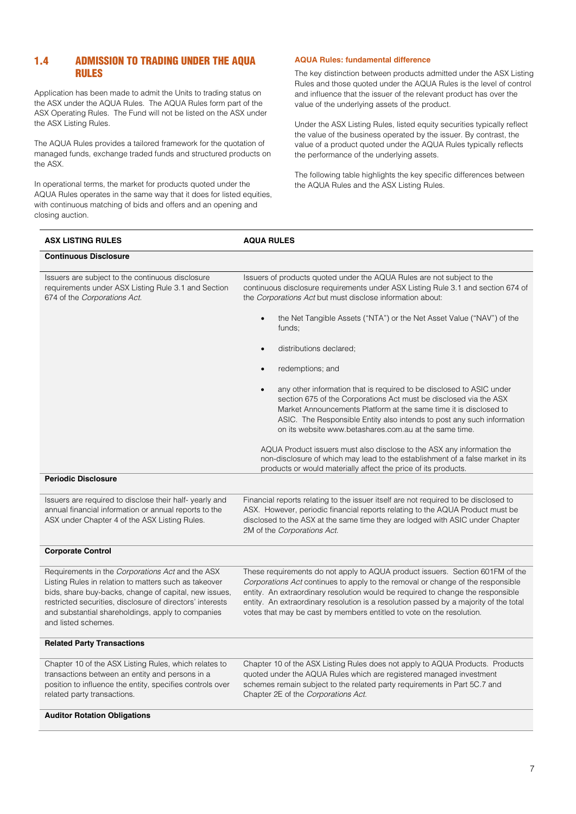## 1.4 ADMISSION TO TRADING UNDER THE AQUA RULES

Application has been made to admit the Units to trading status on the ASX under the AQUA Rules. The AQUA Rules form part of the ASX Operating Rules. The Fund will not be listed on the ASX under the ASX Listing Rules.

The AQUA Rules provides a tailored framework for the quotation of managed funds, exchange traded funds and structured products on the ASX.

In operational terms, the market for products quoted under the AQUA Rules operates in the same way that it does for listed equities, with continuous matching of bids and offers and an opening and closing auction.

## **AQUA Rules: fundamental difference**

The key distinction between products admitted under the ASX Listing Rules and those quoted under the AQUA Rules is the level of control and influence that the issuer of the relevant product has over the value of the underlying assets of the product.

Under the ASX Listing Rules, listed equity securities typically reflect the value of the business operated by the issuer. By contrast, the value of a product quoted under the AQUA Rules typically reflects the performance of the underlying assets.

The following table highlights the key specific differences between the AQUA Rules and the ASX Listing Rules.

| <b>ASX LISTING RULES</b>                                                                                                                                                                                                                                                                                    | <b>AQUA RULES</b>                                                                                                                                                                                                                                                                                                                                                                                                     |  |
|-------------------------------------------------------------------------------------------------------------------------------------------------------------------------------------------------------------------------------------------------------------------------------------------------------------|-----------------------------------------------------------------------------------------------------------------------------------------------------------------------------------------------------------------------------------------------------------------------------------------------------------------------------------------------------------------------------------------------------------------------|--|
| <b>Continuous Disclosure</b>                                                                                                                                                                                                                                                                                |                                                                                                                                                                                                                                                                                                                                                                                                                       |  |
| Issuers are subject to the continuous disclosure<br>requirements under ASX Listing Rule 3.1 and Section<br>674 of the Corporations Act.                                                                                                                                                                     | Issuers of products quoted under the AQUA Rules are not subject to the<br>continuous disclosure requirements under ASX Listing Rule 3.1 and section 674 of<br>the Corporations Act but must disclose information about:                                                                                                                                                                                               |  |
|                                                                                                                                                                                                                                                                                                             | the Net Tangible Assets ("NTA") or the Net Asset Value ("NAV") of the<br>funds;                                                                                                                                                                                                                                                                                                                                       |  |
|                                                                                                                                                                                                                                                                                                             | distributions declared;                                                                                                                                                                                                                                                                                                                                                                                               |  |
|                                                                                                                                                                                                                                                                                                             | redemptions; and                                                                                                                                                                                                                                                                                                                                                                                                      |  |
|                                                                                                                                                                                                                                                                                                             | any other information that is required to be disclosed to ASIC under<br>section 675 of the Corporations Act must be disclosed via the ASX<br>Market Announcements Platform at the same time it is disclosed to<br>ASIC. The Responsible Entity also intends to post any such information<br>on its website www.betashares.com.au at the same time.                                                                    |  |
|                                                                                                                                                                                                                                                                                                             | AQUA Product issuers must also disclose to the ASX any information the<br>non-disclosure of which may lead to the establishment of a false market in its<br>products or would materially affect the price of its products.                                                                                                                                                                                            |  |
| <b>Periodic Disclosure</b>                                                                                                                                                                                                                                                                                  |                                                                                                                                                                                                                                                                                                                                                                                                                       |  |
| Issuers are required to disclose their half-yearly and<br>annual financial information or annual reports to the<br>ASX under Chapter 4 of the ASX Listing Rules.                                                                                                                                            | Financial reports relating to the issuer itself are not required to be disclosed to<br>ASX. However, periodic financial reports relating to the AQUA Product must be<br>disclosed to the ASX at the same time they are lodged with ASIC under Chapter<br>2M of the Corporations Act.                                                                                                                                  |  |
| <b>Corporate Control</b>                                                                                                                                                                                                                                                                                    |                                                                                                                                                                                                                                                                                                                                                                                                                       |  |
| Requirements in the Corporations Act and the ASX<br>Listing Rules in relation to matters such as takeover<br>bids, share buy-backs, change of capital, new issues,<br>restricted securities, disclosure of directors' interests<br>and substantial shareholdings, apply to companies<br>and listed schemes. | These requirements do not apply to AQUA product issuers. Section 601FM of the<br>Corporations Act continues to apply to the removal or change of the responsible<br>entity. An extraordinary resolution would be required to change the responsible<br>entity. An extraordinary resolution is a resolution passed by a majority of the total<br>votes that may be cast by members entitled to vote on the resolution. |  |
| <b>Related Party Transactions</b>                                                                                                                                                                                                                                                                           |                                                                                                                                                                                                                                                                                                                                                                                                                       |  |
| Chapter 10 of the ASX Listing Rules, which relates to<br>transactions between an entity and persons in a<br>position to influence the entity, specifies controls over<br>related party transactions.                                                                                                        | Chapter 10 of the ASX Listing Rules does not apply to AQUA Products. Products<br>quoted under the AQUA Rules which are registered managed investment<br>schemes remain subject to the related party requirements in Part 5C.7 and<br>Chapter 2E of the Corporations Act.                                                                                                                                              |  |
| <b>Auditor Rotation Obligations</b>                                                                                                                                                                                                                                                                         |                                                                                                                                                                                                                                                                                                                                                                                                                       |  |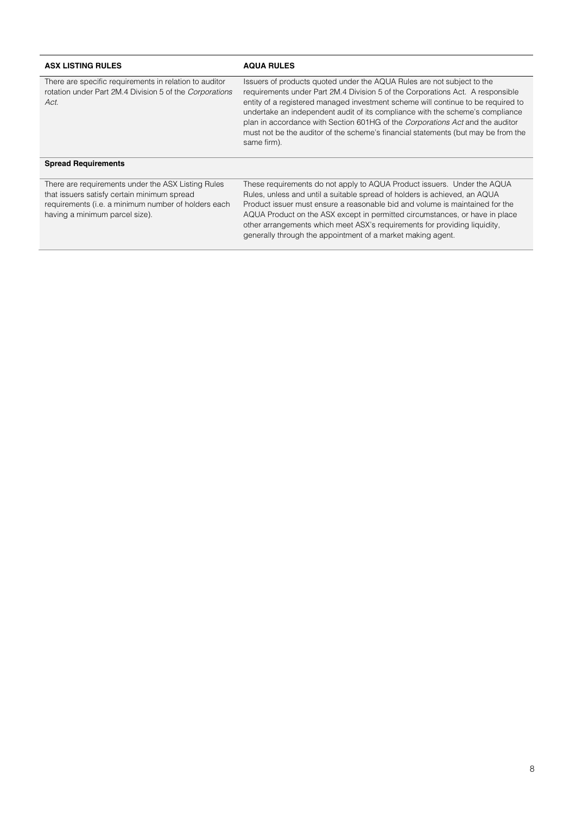| <b>ASX LISTING RULES</b>                                                                                                                                                                   | <b>AQUA RULES</b>                                                                                                                                                                                                                                                                                                                                                                                                                                                                                                  |
|--------------------------------------------------------------------------------------------------------------------------------------------------------------------------------------------|--------------------------------------------------------------------------------------------------------------------------------------------------------------------------------------------------------------------------------------------------------------------------------------------------------------------------------------------------------------------------------------------------------------------------------------------------------------------------------------------------------------------|
| There are specific requirements in relation to auditor<br>rotation under Part 2M.4 Division 5 of the Corporations<br>Act.                                                                  | Issuers of products quoted under the AQUA Rules are not subject to the<br>requirements under Part 2M.4 Division 5 of the Corporations Act. A responsible<br>entity of a registered managed investment scheme will continue to be required to<br>undertake an independent audit of its compliance with the scheme's compliance<br>plan in accordance with Section 601HG of the Corporations Act and the auditor<br>must not be the auditor of the scheme's financial statements (but may be from the<br>same firm). |
| <b>Spread Requirements</b>                                                                                                                                                                 |                                                                                                                                                                                                                                                                                                                                                                                                                                                                                                                    |
| There are requirements under the ASX Listing Rules<br>that issuers satisfy certain minimum spread<br>requirements (i.e. a minimum number of holders each<br>having a minimum parcel size). | These requirements do not apply to AQUA Product issuers. Under the AQUA<br>Rules, unless and until a suitable spread of holders is achieved, an AQUA<br>Product issuer must ensure a reasonable bid and volume is maintained for the<br>AQUA Product on the ASX except in permitted circumstances, or have in place<br>other arrangements which meet ASX's requirements for providing liquidity,<br>generally through the appointment of a market making agent.                                                    |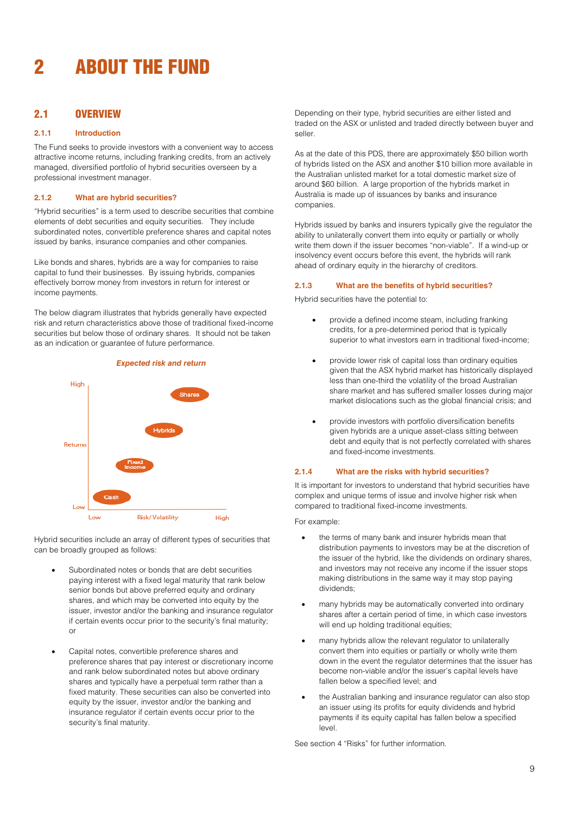## <span id="page-8-0"></span>2 ABOUT THE FUND

## 2.1 OVERVIEW

#### **2.1.1 Introduction**

The Fund seeks to provide investors with a convenient way to access attractive income returns, including franking credits, from an actively managed, diversified portfolio of hybrid securities overseen by a professional investment manager.

#### **2.1.2 What are hybrid securities?**

"Hybrid securities" is a term used to describe securities that combine elements of debt securities and equity securities. They include subordinated notes, convertible preference shares and capital notes issued by banks, insurance companies and other companies.

Like bonds and shares, hybrids are a way for companies to raise capital to fund their businesses. By issuing hybrids, companies effectively borrow money from investors in return for interest or income payments.

The below diagram illustrates that hybrids generally have expected risk and return characteristics above those of traditional fixed-income securities but below those of ordinary shares. It should not be taken as an indication or guarantee of future performance.



Hybrid securities include an array of different types of securities that can be broadly grouped as follows:

- Subordinated notes or bonds that are debt securities paying interest with a fixed legal maturity that rank below senior bonds but above preferred equity and ordinary shares, and which may be converted into equity by the issuer, investor and/or the banking and insurance regulator if certain events occur prior to the security's final maturity; or
- Capital notes, convertible preference shares and preference shares that pay interest or discretionary income and rank below subordinated notes but above ordinary shares and typically have a perpetual term rather than a fixed maturity. These securities can also be converted into equity by the issuer, investor and/or the banking and insurance regulator if certain events occur prior to the security's final maturity.

Depending on their type, hybrid securities are either listed and traded on the ASX or unlisted and traded directly between buyer and seller.

As at the date of this PDS, there are approximately \$50 billion worth of hybrids listed on the ASX and another \$10 billion more available in the Australian unlisted market for a total domestic market size of around \$60 billion. A large proportion of the hybrids market in Australia is made up of issuances by banks and insurance companies.

Hybrids issued by banks and insurers typically give the regulator the ability to unilaterally convert them into equity or partially or wholly write them down if the issuer becomes "non-viable". If a wind-up or insolvency event occurs before this event, the hybrids will rank ahead of ordinary equity in the hierarchy of creditors.

#### **2.1.3 What are the benefits of hybrid securities?**

Hybrid securities have the potential to:

- provide a defined income steam, including franking credits, for a pre-determined period that is typically superior to what investors earn in traditional fixed-income;
- provide lower risk of capital loss than ordinary equities given that the ASX hybrid market has historically displayed less than one-third the volatility of the broad Australian share market and has suffered smaller losses during major market dislocations such as the global financial crisis; and
- provide investors with portfolio diversification benefits given hybrids are a unique asset-class sitting between debt and equity that is not perfectly correlated with shares and fixed-income investments.

## **2.1.4 What are the risks with hybrid securities?**

It is important for investors to understand that hybrid securities have complex and unique terms of issue and involve higher risk when compared to traditional fixed-income investments.

#### For example:

- the terms of many bank and insurer hybrids mean that distribution payments to investors may be at the discretion of the issuer of the hybrid, like the dividends on ordinary shares, and investors may not receive any income if the issuer stops making distributions in the same way it may stop paying dividends;
- many hybrids may be automatically converted into ordinary shares after a certain period of time, in which case investors will end up holding traditional equities;
- many hybrids allow the relevant regulator to unilaterally convert them into equities or partially or wholly write them down in the event the regulator determines that the issuer has become non-viable and/or the issuer's capital levels have fallen below a specified level; and
- the Australian banking and insurance regulator can also stop an issuer using its profits for equity dividends and hybrid payments if its equity capital has fallen below a specified level.

See section 4 "Risks" for further information.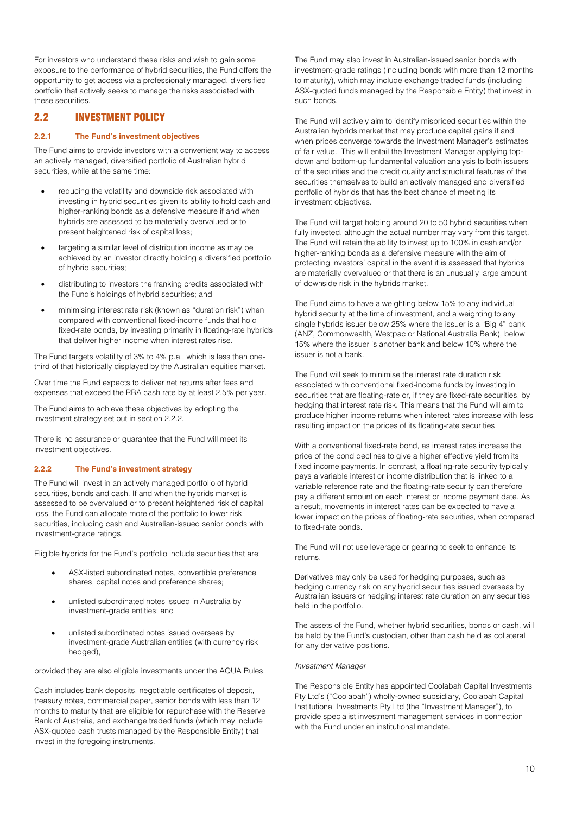For investors who understand these risks and wish to gain some exposure to the performance of hybrid securities, the Fund offers the opportunity to get access via a professionally managed, diversified portfolio that actively seeks to manage the risks associated with these securities.

## 2.2 INVESTMENT POLICY

#### **2.2.1 The Fund's investment objectives**

The Fund aims to provide investors with a convenient way to access an actively managed, diversified portfolio of Australian hybrid securities, while at the same time:

- reducing the volatility and downside risk associated with investing in hybrid securities given its ability to hold cash and higher-ranking bonds as a defensive measure if and when hybrids are assessed to be materially overvalued or to present heightened risk of capital loss;
- targeting a similar level of distribution income as may be achieved by an investor directly holding a diversified portfolio of hybrid securities;
- distributing to investors the franking credits associated with the Fund's holdings of hybrid securities; and
- minimising interest rate risk (known as "duration risk") when compared with conventional fixed-income funds that hold fixed-rate bonds, by investing primarily in floating-rate hybrids that deliver higher income when interest rates rise.

The Fund targets volatility of 3% to 4% p.a., which is less than onethird of that historically displayed by the Australian equities market.

Over time the Fund expects to deliver net returns after fees and expenses that exceed the RBA cash rate by at least 2.5% per year.

The Fund aims to achieve these objectives by adopting the investment strategy set out in section 2.2.2.

There is no assurance or guarantee that the Fund will meet its investment objectives.

## **2.2.2 The Fund's investment strategy**

The Fund will invest in an actively managed portfolio of hybrid securities, bonds and cash. If and when the hybrids market is assessed to be overvalued or to present heightened risk of capital loss, the Fund can allocate more of the portfolio to lower risk securities, including cash and Australian-issued senior bonds with investment-grade ratings.

Eligible hybrids for the Fund's portfolio include securities that are:

- ASX-listed subordinated notes, convertible preference shares, capital notes and preference shares;
- unlisted subordinated notes issued in Australia by investment-grade entities; and
- unlisted subordinated notes issued overseas by investment-grade Australian entities (with currency risk hedged),

provided they are also eligible investments under the AQUA Rules.

Cash includes bank deposits, negotiable certificates of deposit, treasury notes, commercial paper, senior bonds with less than 12 months to maturity that are eligible for repurchase with the Reserve Bank of Australia, and exchange traded funds (which may include ASX-quoted cash trusts managed by the Responsible Entity) that invest in the foregoing instruments.

The Fund may also invest in Australian-issued senior bonds with investment-grade ratings (including bonds with more than 12 months to maturity), which may include exchange traded funds (including ASX-quoted funds managed by the Responsible Entity) that invest in such bonds.

The Fund will actively aim to identify mispriced securities within the Australian hybrids market that may produce capital gains if and when prices converge towards the Investment Manager's estimates of fair value. This will entail the Investment Manager applying topdown and bottom-up fundamental valuation analysis to both issuers of the securities and the credit quality and structural features of the securities themselves to build an actively managed and diversified portfolio of hybrids that has the best chance of meeting its investment objectives.

The Fund will target holding around 20 to 50 hybrid securities when fully invested, although the actual number may vary from this target. The Fund will retain the ability to invest up to 100% in cash and/or higher-ranking bonds as a defensive measure with the aim of protecting investors' capital in the event it is assessed that hybrids are materially overvalued or that there is an unusually large amount of downside risk in the hybrids market.

The Fund aims to have a weighting below 15% to any individual hybrid security at the time of investment, and a weighting to any single hybrids issuer below 25% where the issuer is a "Big 4" bank (ANZ, Commonwealth, Westpac or National Australia Bank), below 15% where the issuer is another bank and below 10% where the issuer is not a bank.

The Fund will seek to minimise the interest rate duration risk associated with conventional fixed-income funds by investing in securities that are floating-rate or, if they are fixed-rate securities, by hedging that interest rate risk. This means that the Fund will aim to produce higher income returns when interest rates increase with less resulting impact on the prices of its floating-rate securities.

With a conventional fixed-rate bond, as interest rates increase the price of the bond declines to give a higher effective yield from its fixed income payments. In contrast, a floating-rate security typically pays a variable interest or income distribution that is linked to a variable reference rate and the floating-rate security can therefore pay a different amount on each interest or income payment date. As a result, movements in interest rates can be expected to have a lower impact on the prices of floating-rate securities, when compared to fixed-rate bonds.

The Fund will not use leverage or gearing to seek to enhance its returns.

Derivatives may only be used for hedging purposes, such as hedging currency risk on any hybrid securities issued overseas by Australian issuers or hedging interest rate duration on any securities held in the portfolio.

The assets of the Fund, whether hybrid securities, bonds or cash, will be held by the Fund's custodian, other than cash held as collateral for any derivative positions.

#### *Investment Manager*

The Responsible Entity has appointed Coolabah Capital Investments Pty Ltd's ("Coolabah") wholly-owned subsidiary, Coolabah Capital Institutional Investments Pty Ltd (the "Investment Manager"), to provide specialist investment management services in connection with the Fund under an institutional mandate.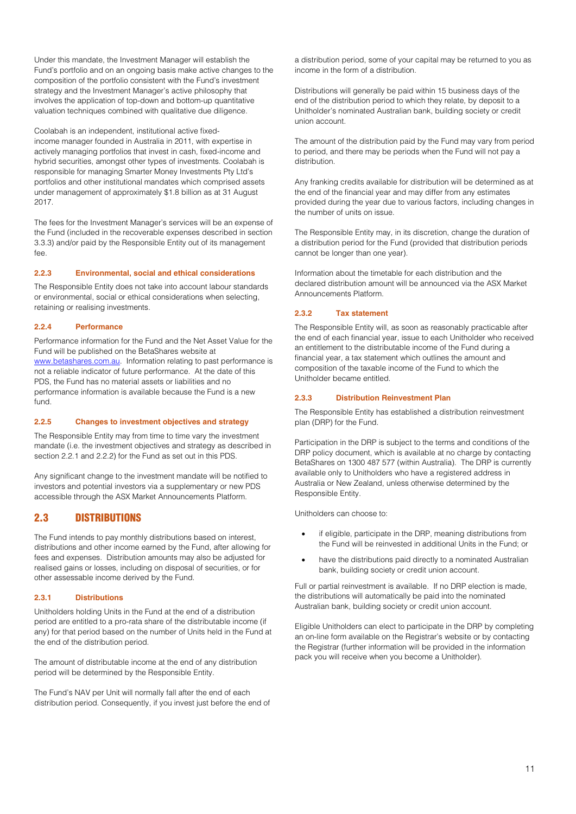Under this mandate, the Investment Manager will establish the Fund's portfolio and on an ongoing basis make active changes to the composition of the portfolio consistent with the Fund's investment strategy and the Investment Manager's active philosophy that involves the application of top-down and bottom-up quantitative valuation techniques combined with qualitative due diligence.

Coolabah is an independent, institutional active fixedincome manager founded in Australia in 2011, with expertise in actively managing portfolios that invest in cash, fixed-income and hybrid securities, amongst other types of investments. Coolabah is responsible for managing Smarter Money Investments Pty Ltd's portfolios and other institutional mandates which comprised assets under management of approximately \$1.8 billion as at 31 August 2017.

The fees for the Investment Manager's services will be an expense of the Fund (included in the recoverable expenses described in section 3.3.3) and/or paid by the Responsible Entity out of its management fee.

## **2.2.3 Environmental, social and ethical considerations**

The Responsible Entity does not take into account labour standards or environmental, social or ethical considerations when selecting, retaining or realising investments.

#### **2.2.4 Performance**

Performance information for the Fund and the Net Asset Value for the Fund will be published on the BetaShares website at [www.betashares.com.au.](http://www.betashares.com.au/) Information relating to past performance is not a reliable indicator of future performance. At the date of this PDS, the Fund has no material assets or liabilities and no performance information is available because the Fund is a new fund.

## **2.2.5 Changes to investment objectives and strategy**

The Responsible Entity may from time to time vary the investment mandate (i.e. the investment objectives and strategy as described in section 2.2.1 and 2.2.2) for the Fund as set out in this PDS.

Any significant change to the investment mandate will be notified to investors and potential investors via a supplementary or new PDS accessible through the ASX Market Announcements Platform.

## <span id="page-10-0"></span>2.3 DISTRIBUTIONS

The Fund intends to pay monthly distributions based on interest, distributions and other income earned by the Fund, after allowing for fees and expenses. Distribution amounts may also be adjusted for realised gains or losses, including on disposal of securities, or for other assessable income derived by the Fund.

## **2.3.1 Distributions**

Unitholders holding Units in the Fund at the end of a distribution period are entitled to a pro-rata share of the distributable income (if any) for that period based on the number of Units held in the Fund at the end of the distribution period.

The amount of distributable income at the end of any distribution period will be determined by the Responsible Entity.

The Fund's NAV per Unit will normally fall after the end of each distribution period. Consequently, if you invest just before the end of

a distribution period, some of your capital may be returned to you as income in the form of a distribution.

Distributions will generally be paid within 15 business days of the end of the distribution period to which they relate, by deposit to a Unitholder's nominated Australian bank, building society or credit union account.

The amount of the distribution paid by the Fund may vary from period to period, and there may be periods when the Fund will not pay a distribution.

Any franking credits available for distribution will be determined as at the end of the financial year and may differ from any estimates provided during the year due to various factors, including changes in the number of units on issue.

The Responsible Entity may, in its discretion, change the duration of a distribution period for the Fund (provided that distribution periods cannot be longer than one year).

Information about the timetable for each distribution and the declared distribution amount will be announced via the ASX Market Announcements Platform.

## **2.3.2 Tax statement**

The Responsible Entity will, as soon as reasonably practicable after the end of each financial year, issue to each Unitholder who received an entitlement to the distributable income of the Fund during a financial year, a tax statement which outlines the amount and composition of the taxable income of the Fund to which the Unitholder became entitled.

## **2.3.3 Distribution Reinvestment Plan**

The Responsible Entity has established a distribution reinvestment plan (DRP) for the Fund.

Participation in the DRP is subject to the terms and conditions of the DRP policy document, which is available at no charge by contacting BetaShares on 1300 487 577 (within Australia). The DRP is currently available only to Unitholders who have a registered address in Australia or New Zealand, unless otherwise determined by the Responsible Entity.

Unitholders can choose to:

- if eligible, participate in the DRP, meaning distributions from the Fund will be reinvested in additional Units in the Fund; or
- have the distributions paid directly to a nominated Australian bank, building society or credit union account.

Full or partial reinvestment is available. If no DRP election is made, the distributions will automatically be paid into the nominated Australian bank, building society or credit union account.

Eligible Unitholders can elect to participate in the DRP by completing an on-line form available on the Registrar's website or by contacting the Registrar (further information will be provided in the information pack you will receive when you become a Unitholder).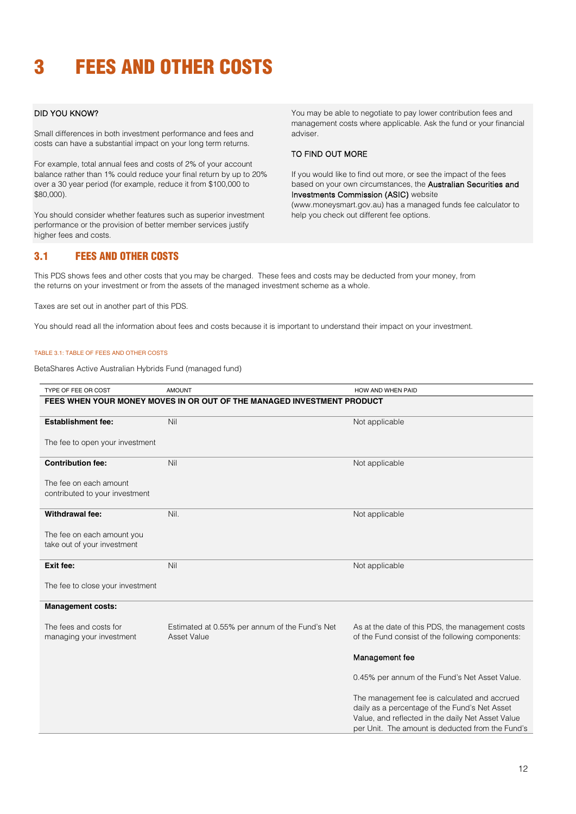# <span id="page-11-0"></span>3 FEES AND OTHER COSTS

## DID YOU KNOW?

Small differences in both investment performance and fees and costs can have a substantial impact on your long term returns.

For example, total annual fees and costs of 2% of your account balance rather than 1% could reduce your final return by up to 20% over a 30 year period (for example, reduce it from \$100,000 to \$80,000).

You should consider whether features such as superior investment performance or the provision of better member services justify higher fees and costs.

You may be able to negotiate to pay lower contribution fees and management costs where applicable. Ask the fund or your financial adviser.

## TO FIND OUT MORE

If you would like to find out more, or see the impact of the fees based on your own circumstances, the Australian Securities and Investments Commission (ASIC) website (www.moneysmart.gov.au) has a managed funds fee calculator to help you check out different fee options.

## <span id="page-11-1"></span>3.1 FEES AND OTHER COSTS

This PDS shows fees and other costs that you may be charged. These fees and costs may be deducted from your money, from the returns on your investment or from the assets of the managed investment scheme as a whole.

Taxes are set out in another part of this PDS.

You should read all the information about fees and costs because it is important to understand their impact on your investment.

#### TABLE 3.1: TABLE OF FEES AND OTHER COSTS

BetaShares Active Australian Hybrids Fund (managed fund)

| TYPE OF FEE OR COST                                                    | <b>AMOUNT</b>                                                 | HOW AND WHEN PAID                                 |  |
|------------------------------------------------------------------------|---------------------------------------------------------------|---------------------------------------------------|--|
| FEES WHEN YOUR MONEY MOVES IN OR OUT OF THE MANAGED INVESTMENT PRODUCT |                                                               |                                                   |  |
|                                                                        |                                                               |                                                   |  |
| <b>Establishment fee:</b>                                              | Nil                                                           | Not applicable                                    |  |
|                                                                        |                                                               |                                                   |  |
| The fee to open your investment                                        |                                                               |                                                   |  |
| <b>Contribution fee:</b>                                               | Nil                                                           | Not applicable                                    |  |
|                                                                        |                                                               |                                                   |  |
| The fee on each amount                                                 |                                                               |                                                   |  |
| contributed to your investment                                         |                                                               |                                                   |  |
|                                                                        |                                                               |                                                   |  |
| <b>Withdrawal fee:</b>                                                 | Nil.                                                          | Not applicable                                    |  |
|                                                                        |                                                               |                                                   |  |
| The fee on each amount you                                             |                                                               |                                                   |  |
| take out of your investment                                            |                                                               |                                                   |  |
|                                                                        |                                                               |                                                   |  |
| Exit fee:                                                              | Nil                                                           | Not applicable                                    |  |
|                                                                        |                                                               |                                                   |  |
| The fee to close your investment                                       |                                                               |                                                   |  |
|                                                                        |                                                               |                                                   |  |
| <b>Management costs:</b>                                               |                                                               |                                                   |  |
| The fees and costs for                                                 |                                                               | As at the date of this PDS, the management costs  |  |
| managing your investment                                               | Estimated at 0.55% per annum of the Fund's Net<br>Asset Value | of the Fund consist of the following components:  |  |
|                                                                        |                                                               |                                                   |  |
|                                                                        |                                                               | Management fee                                    |  |
|                                                                        |                                                               |                                                   |  |
|                                                                        |                                                               | 0.45% per annum of the Fund's Net Asset Value.    |  |
|                                                                        |                                                               | The management fee is calculated and accrued      |  |
|                                                                        |                                                               | daily as a percentage of the Fund's Net Asset     |  |
|                                                                        |                                                               | Value, and reflected in the daily Net Asset Value |  |
|                                                                        |                                                               |                                                   |  |
|                                                                        |                                                               | per Unit. The amount is deducted from the Fund's  |  |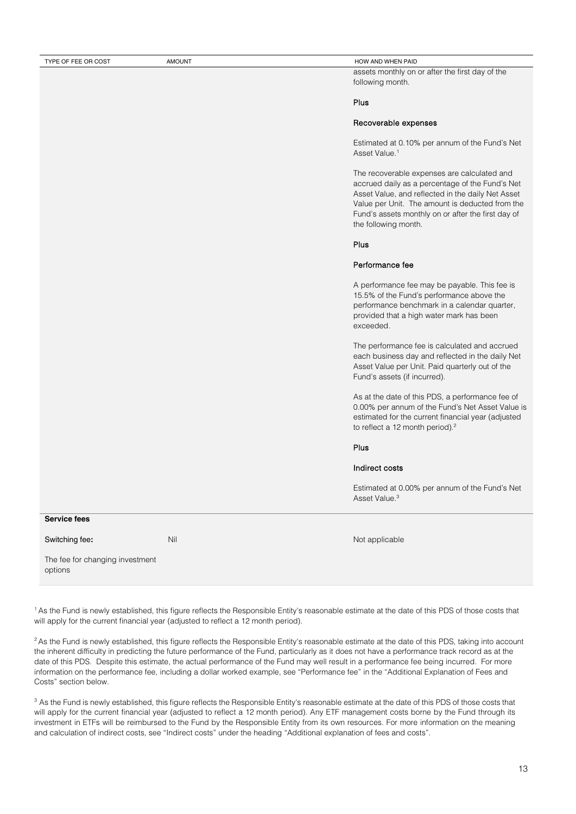#### TYPE OF FEE OR COST AMOUNT AMOUNT AND WHEN PAID

assets monthly on or after the first day of the following month.

## Plus

#### Recoverable expenses

Estimated at 0.10% per annum of the Fund's Net Asset Value.<sup>1</sup>

The recoverable expenses are calculated and accrued daily as a percentage of the Fund's Net Asset Value, and reflected in the daily Net Asset Value per Unit. The amount is deducted from the Fund's assets monthly on or after the first day of the following month.

## Plus

#### Performance fee

A performance fee may be payable. This fee is 15.5% of the Fund's performance above the performance benchmark in a calendar quarter, provided that a high water mark has been exceeded.

The performance fee is calculated and accrued each business day and reflected in the daily Net Asset Value per Unit. Paid quarterly out of the Fund's assets (if incurred).

As at the date of this PDS, a performance fee of 0.00% per annum of the Fund's Net Asset Value is estimated for the current financial year (adjusted to reflect a 12 month period).<sup>2</sup>

#### Plus

#### Indirect costs

Estimated at 0.00% per annum of the Fund's Net Asset Value<sup>3</sup>

#### **Service fees**

Switching fee**:**

Nil Nil Not applicable

The fee for changing investment options

<sup>1</sup> As the Fund is newly established, this figure reflects the Responsible Entity's reasonable estimate at the date of this PDS of those costs that will apply for the current financial year (adjusted to reflect a 12 month period).

<sup>2</sup> As the Fund is newly established, this figure reflects the Responsible Entity's reasonable estimate at the date of this PDS, taking into account the inherent difficulty in predicting the future performance of the Fund, particularly as it does not have a performance track record as at the date of this PDS. Despite this estimate, the actual performance of the Fund may well result in a performance fee being incurred. For more information on the performance fee, including a dollar worked example, see "Performance fee" in the "Additional Explanation of Fees and Costs" section below.

<sup>3</sup> As the Fund is newly established, this figure reflects the Responsible Entity's reasonable estimate at the date of this PDS of those costs that will apply for the current financial year (adjusted to reflect a 12 month period). Any ETF management costs borne by the Fund through its investment in ETFs will be reimbursed to the Fund by the Responsible Entity from its own resources. For more information on the meaning and calculation of indirect costs, see "Indirect costs" under the heading "Additional explanation of fees and costs".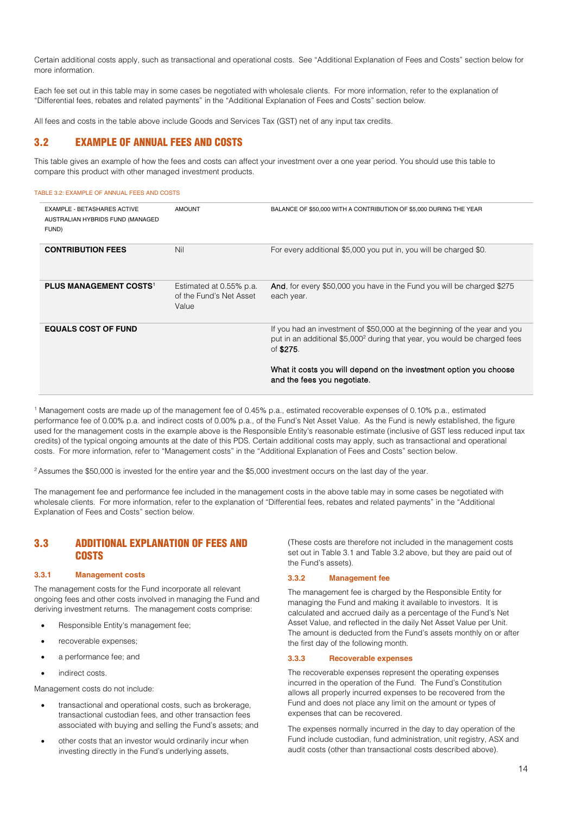Certain additional costs apply, such as transactional and operational costs. See "Additional Explanation of Fees and Costs" section below for more information.

Each fee set out in this table may in some cases be negotiated with wholesale clients. For more information, refer to the explanation of "Differential fees, rebates and related payments" in the "Additional Explanation of Fees and Costs" section below.

All fees and costs in the table above include Goods and Services Tax (GST) net of any input tax credits.

## 3.2 EXAMPLE OF ANNUAL FEES AND COSTS

This table gives an example of how the fees and costs can affect your investment over a one year period. You should use this table to compare this product with other managed investment products.

#### TABLE 3.2: EXAMPLE OF ANNUAL FEES AND COSTS

| <b>EXAMPLE - BETASHARES ACTIVE</b><br>AUSTRALIAN HYBRIDS FUND (MANAGED<br>FUND) | <b>AMOUNT</b>                                               | BALANCE OF \$50,000 WITH A CONTRIBUTION OF \$5,000 DURING THE YEAR                                                                                                              |
|---------------------------------------------------------------------------------|-------------------------------------------------------------|---------------------------------------------------------------------------------------------------------------------------------------------------------------------------------|
| <b>CONTRIBUTION FEES</b>                                                        | Nil                                                         | For every additional \$5,000 you put in, you will be charged \$0.                                                                                                               |
| <b>PLUS MANAGEMENT COSTS1</b>                                                   | Estimated at 0.55% p.a.<br>of the Fund's Net Asset<br>Value | And, for every \$50,000 you have in the Fund you will be charged \$275<br>each year.                                                                                            |
| <b>EQUALS COST OF FUND</b>                                                      |                                                             | If you had an investment of \$50,000 at the beginning of the year and you<br>put in an additional \$5,000 <sup>2</sup> during that year, you would be charged fees<br>of \$275. |
|                                                                                 |                                                             | What it costs you will depend on the investment option you choose<br>and the fees you negotiate.                                                                                |

<sup>1</sup> Management costs are made up of the management fee of 0.45% p.a., estimated recoverable expenses of 0.10% p.a., estimated performance fee of 0.00% p.a. and indirect costs of 0.00% p.a., of the Fund's Net Asset Value. As the Fund is newly established, the figure used for the management costs in the example above is the Responsible Entity's reasonable estimate (inclusive of GST less reduced input tax credits) of the typical ongoing amounts at the date of this PDS. Certain additional costs may apply, such as transactional and operational costs. For more information, refer to "Management costs" in the "Additional Explanation of Fees and Costs" section below.

<sup>2</sup> Assumes the \$50,000 is invested for the entire year and the \$5,000 investment occurs on the last day of the year.

The management fee and performance fee included in the management costs in the above table may in some cases be negotiated with wholesale clients. For more information, refer to the explanation of "Differential fees, rebates and related payments" in the "Additional Explanation of Fees and Costs" section below.

## 3.3 ADDITIONAL EXPLANATION OF FEES AND **COSTS**

#### **3.3.1 Management costs**

The management costs for the Fund incorporate all relevant ongoing fees and other costs involved in managing the Fund and deriving investment returns. The management costs comprise:

- Responsible Entity's management fee;
- recoverable expenses;
- a performance fee; and
- indirect costs.

Management costs do not include:

- transactional and operational costs, such as brokerage, transactional custodian fees, and other transaction fees associated with buying and selling the Fund's assets; and
- other costs that an investor would ordinarily incur when investing directly in the Fund's underlying assets,

(These costs are therefore not included in the management costs set out in Table 3.1 and Table 3.2 above, but they are paid out of the Fund's assets).

## **3.3.2 Management fee**

The management fee is charged by the Responsible Entity for managing the Fund and making it available to investors. It is calculated and accrued daily as a percentage of the Fund's Net Asset Value, and reflected in the daily Net Asset Value per Unit. The amount is deducted from the Fund's assets monthly on or after the first day of the following month.

#### **3.3.3 Recoverable expenses**

The recoverable expenses represent the operating expenses incurred in the operation of the Fund. The Fund's Constitution allows all properly incurred expenses to be recovered from the Fund and does not place any limit on the amount or types of expenses that can be recovered.

The expenses normally incurred in the day to day operation of the Fund include custodian, fund administration, unit registry, ASX and audit costs (other than transactional costs described above).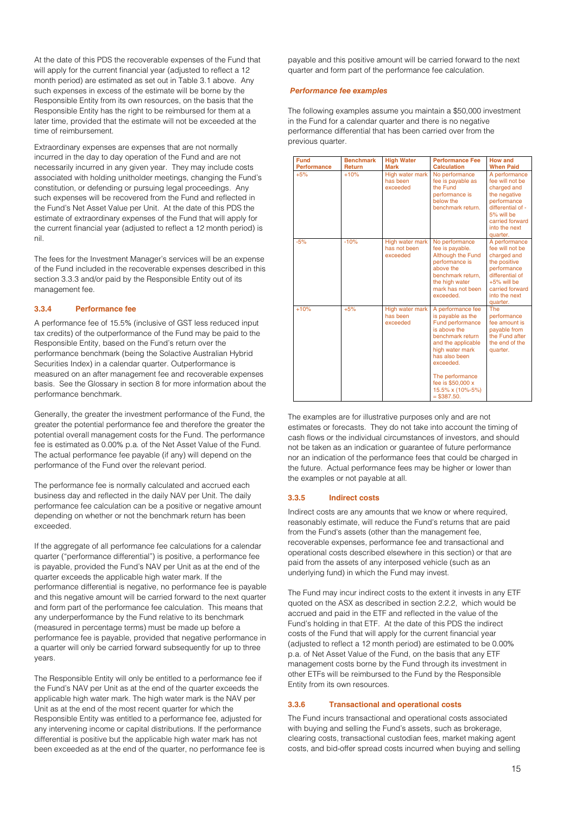At the date of this PDS the recoverable expenses of the Fund that will apply for the current financial year (adjusted to reflect a 12 month period) are estimated as set out in Table 3.1 above. Any such expenses in excess of the estimate will be borne by the Responsible Entity from its own resources, on the basis that the Responsible Entity has the right to be reimbursed for them at a later time, provided that the estimate will not be exceeded at the time of reimbursement.

Extraordinary expenses are expenses that are not normally incurred in the day to day operation of the Fund and are not necessarily incurred in any given year. They may include costs associated with holding unitholder meetings, changing the Fund's constitution, or defending or pursuing legal proceedings. Any such expenses will be recovered from the Fund and reflected in the Fund's Net Asset Value per Unit. At the date of this PDS the estimate of extraordinary expenses of the Fund that will apply for the current financial year (adjusted to reflect a 12 month period) is nil.

The fees for the Investment Manager's services will be an expense of the Fund included in the recoverable expenses described in this section 3.3.3 and/or paid by the Responsible Entity out of its management fee.

#### **3.3.4 Performance fee**

A performance fee of 15.5% (inclusive of GST less reduced input tax credits) of the outperformance of the Fund may be paid to the Responsible Entity, based on the Fund's return over the performance benchmark (being the Solactive Australian Hybrid Securities Index) in a calendar quarter. Outperformance is measured on an after management fee and recoverable expenses basis. See the Glossary in section 8 for more information about the performance benchmark.

Generally, the greater the investment performance of the Fund, the greater the potential performance fee and therefore the greater the potential overall management costs for the Fund. The performance fee is estimated as 0.00% p.a. of the Net Asset Value of the Fund. The actual performance fee payable (if any) will depend on the performance of the Fund over the relevant period.

The performance fee is normally calculated and accrued each business day and reflected in the daily NAV per Unit. The daily performance fee calculation can be a positive or negative amount depending on whether or not the benchmark return has been exceeded.

If the aggregate of all performance fee calculations for a calendar quarter ("performance differential") is positive, a performance fee is payable, provided the Fund's NAV per Unit as at the end of the quarter exceeds the applicable high water mark. If the performance differential is negative, no performance fee is payable and this negative amount will be carried forward to the next quarter and form part of the performance fee calculation. This means that any underperformance by the Fund relative to its benchmark (measured in percentage terms) must be made up before a performance fee is payable, provided that negative performance in a quarter will only be carried forward subsequently for up to three years.

The Responsible Entity will only be entitled to a performance fee if the Fund's NAV per Unit as at the end of the quarter exceeds the applicable high water mark. The high water mark is the NAV per Unit as at the end of the most recent quarter for which the Responsible Entity was entitled to a performance fee, adjusted for any intervening income or capital distributions. If the performance differential is positive but the applicable high water mark has not been exceeded as at the end of the quarter, no performance fee is payable and this positive amount will be carried forward to the next quarter and form part of the performance fee calculation.

#### *Performance fee examples*

The following examples assume you maintain a \$50,000 investment in the Fund for a calendar quarter and there is no negative performance differential that has been carried over from the previous quarter.

| <b>Fund</b>                 | <b>Benchmark</b>        | <b>High Water</b><br><b>Mark</b>            | <b>Performance Fee</b><br><b>Calculation</b>                                                                                                                                                                                                              | <b>How and</b><br><b>When Paid</b>                                                                                                                                 |
|-----------------------------|-------------------------|---------------------------------------------|-----------------------------------------------------------------------------------------------------------------------------------------------------------------------------------------------------------------------------------------------------------|--------------------------------------------------------------------------------------------------------------------------------------------------------------------|
| <b>Performance</b><br>$+5%$ | <b>Return</b><br>$+10%$ | High water mark<br>has been<br>exceeded     | No performance<br>fee is payable as<br>the Fund<br>performance is<br>below the<br>benchmark return.                                                                                                                                                       | A performance<br>fee will not be<br>charged and<br>the negative<br>performance<br>differential of -<br>5% will be<br>carried forward<br>into the next<br>quarter.  |
| $-5%$                       | $-10%$                  | High water mark<br>has not been<br>exceeded | No performance<br>fee is payable.<br><b>Although the Fund</b><br>performance is<br>above the<br>benchmark return.<br>the high water<br>mark has not been<br>exceeded.                                                                                     | A performance<br>fee will not be<br>charged and<br>the positive<br>performance<br>differential of<br>$+5%$ will be<br>carried forward<br>into the next<br>quarter. |
| $+10%$                      | $+5%$                   | High water mark<br>has been<br>exceeded     | A performance fee<br>is payable as the<br><b>Fund performance</b><br>is above the<br>benchmark return<br>and the applicable<br>high water mark<br>has also been<br>exceeded.<br>The performance<br>fee is \$50,000 x<br>15.5% x (10%-5%)<br>$=$ \$387.50. | The<br>performance<br>fee amount is<br>payable from<br>the Fund after<br>the end of the<br>quarter.                                                                |

The examples are for illustrative purposes only and are not estimates or forecasts. They do not take into account the timing of cash flows or the individual circumstances of investors, and should not be taken as an indication or guarantee of future performance nor an indication of the performance fees that could be charged in the future. Actual performance fees may be higher or lower than the examples or not payable at all.

## **3.3.5 Indirect costs**

Indirect costs are any amounts that we know or where required, reasonably estimate, will reduce the Fund's returns that are paid from the Fund's assets (other than the management fee, recoverable expenses, performance fee and transactional and operational costs described elsewhere in this section) or that are paid from the assets of any interposed vehicle (such as an underlying fund) in which the Fund may invest.

The Fund may incur indirect costs to the extent it invests in any ETF quoted on the ASX as described in section 2.2.2, which would be accrued and paid in the ETF and reflected in the value of the Fund's holding in that ETF. At the date of this PDS the indirect costs of the Fund that will apply for the current financial year (adjusted to reflect a 12 month period) are estimated to be 0.00% p.a. of Net Asset Value of the Fund, on the basis that any ETF management costs borne by the Fund through its investment in other ETFs will be reimbursed to the Fund by the Responsible Entity from its own resources.

## **3.3.6 Transactional and operational costs**

The Fund incurs transactional and operational costs associated with buying and selling the Fund's assets, such as brokerage, clearing costs, transactional custodian fees, market making agent costs, and bid-offer spread costs incurred when buying and selling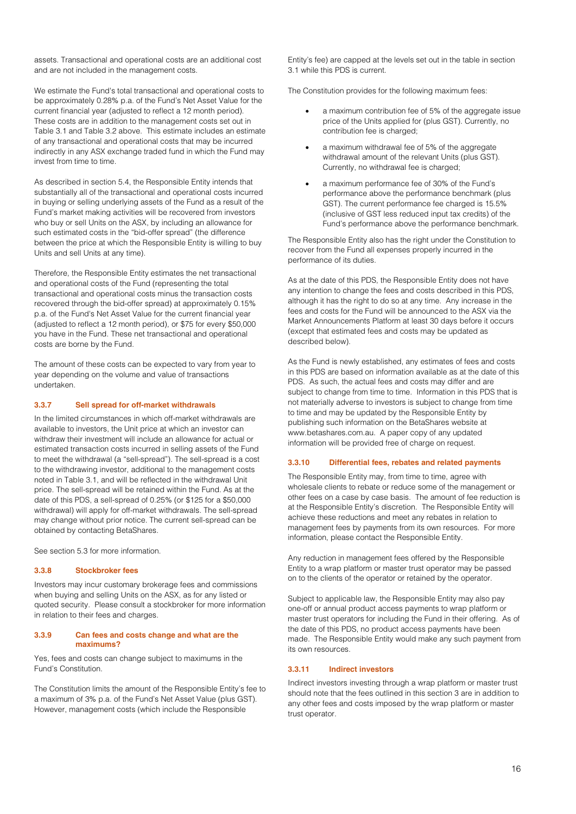assets. Transactional and operational costs are an additional cost and are not included in the management costs.

We estimate the Fund's total transactional and operational costs to be approximately 0.28% p.a. of the Fund's Net Asset Value for the current financial year (adjusted to reflect a 12 month period). These costs are in addition to the management costs set out in Table 3.1 and Table 3.2 above. This estimate includes an estimate of any transactional and operational costs that may be incurred indirectly in any ASX exchange traded fund in which the Fund may invest from time to time.

As described in section 5.4, the Responsible Entity intends that substantially all of the transactional and operational costs incurred in buying or selling underlying assets of the Fund as a result of the Fund's market making activities will be recovered from investors who buy or sell Units on the ASX, by including an allowance for such estimated costs in the "bid-offer spread" (the difference between the price at which the Responsible Entity is willing to buy Units and sell Units at any time).

Therefore, the Responsible Entity estimates the net transactional and operational costs of the Fund (representing the total transactional and operational costs minus the transaction costs recovered through the bid-offer spread) at approximately 0.15% p.a. of the Fund's Net Asset Value for the current financial year (adjusted to reflect a 12 month period), or \$75 for every \$50,000 you have in the Fund. These net transactional and operational costs are borne by the Fund.

The amount of these costs can be expected to vary from year to year depending on the volume and value of transactions undertaken.

#### **3.3.7 Sell spread for off-market withdrawals**

In the limited circumstances in which off-market withdrawals are available to investors, the Unit price at which an investor can withdraw their investment will include an allowance for actual or estimated transaction costs incurred in selling assets of the Fund to meet the withdrawal (a "sell-spread"). The sell-spread is a cost to the withdrawing investor, additional to the management costs noted in Table 3.1, and will be reflected in the withdrawal Unit price. The sell-spread will be retained within the Fund. As at the date of this PDS, a sell-spread of 0.25% (or \$125 for a \$50,000 withdrawal) will apply for off-market withdrawals. The sell-spread may change without prior notice. The current sell-spread can be obtained by contacting BetaShares.

See section 5.3 for more information.

#### **3.3.8 Stockbroker fees**

Investors may incur customary brokerage fees and commissions when buying and selling Units on the ASX, as for any listed or quoted security. Please consult a stockbroker for more information in relation to their fees and charges.

#### **3.3.9 Can fees and costs change and what are the maximums?**

Yes, fees and costs can change subject to maximums in the Fund's Constitution.

The Constitution limits the amount of the Responsible Entity's fee to a maximum of 3% p.a. of the Fund's Net Asset Value (plus GST). However, management costs (which include the Responsible

Entity's fee) are capped at the levels set out in the table in section [3.1](#page-11-1) while this PDS is current.

The Constitution provides for the following maximum fees:

- a maximum contribution fee of 5% of the aggregate issue price of the Units applied for (plus GST). Currently, no contribution fee is charged;
- a maximum withdrawal fee of 5% of the aggregate withdrawal amount of the relevant Units (plus GST). Currently, no withdrawal fee is charged;
- a maximum performance fee of 30% of the Fund's performance above the performance benchmark (plus GST). The current performance fee charged is 15.5% (inclusive of GST less reduced input tax credits) of the Fund's performance above the performance benchmark.

The Responsible Entity also has the right under the Constitution to recover from the Fund all expenses properly incurred in the performance of its duties.

As at the date of this PDS, the Responsible Entity does not have any intention to change the fees and costs described in this PDS, although it has the right to do so at any time. Any increase in the fees and costs for the Fund will be announced to the ASX via the Market Announcements Platform at least 30 days before it occurs (except that estimated fees and costs may be updated as described below).

As the Fund is newly established, any estimates of fees and costs in this PDS are based on information available as at the date of this PDS. As such, the actual fees and costs may differ and are subject to change from time to time. Information in this PDS that is not materially adverse to investors is subject to change from time to time and may be updated by the Responsible Entity by publishing such information on the BetaShares website at www.betashares.com.au. A paper copy of any updated information will be provided free of charge on request.

#### **3.3.10 Differential fees, rebates and related payments**

The Responsible Entity may, from time to time, agree with wholesale clients to rebate or reduce some of the management or other fees on a case by case basis. The amount of fee reduction is at the Responsible Entity's discretion. The Responsible Entity will achieve these reductions and meet any rebates in relation to management fees by payments from its own resources. For more information, please contact the Responsible Entity.

Any reduction in management fees offered by the Responsible Entity to a wrap platform or master trust operator may be passed on to the clients of the operator or retained by the operator.

Subject to applicable law, the Responsible Entity may also pay one-off or annual product access payments to wrap platform or master trust operators for including the Fund in their offering. As of the date of this PDS, no product access payments have been made. The Responsible Entity would make any such payment from its own resources.

#### **3.3.11 Indirect investors**

Indirect investors investing through a wrap platform or master trust should note that the fees outlined in this section 3 are in addition to any other fees and costs imposed by the wrap platform or master trust operator.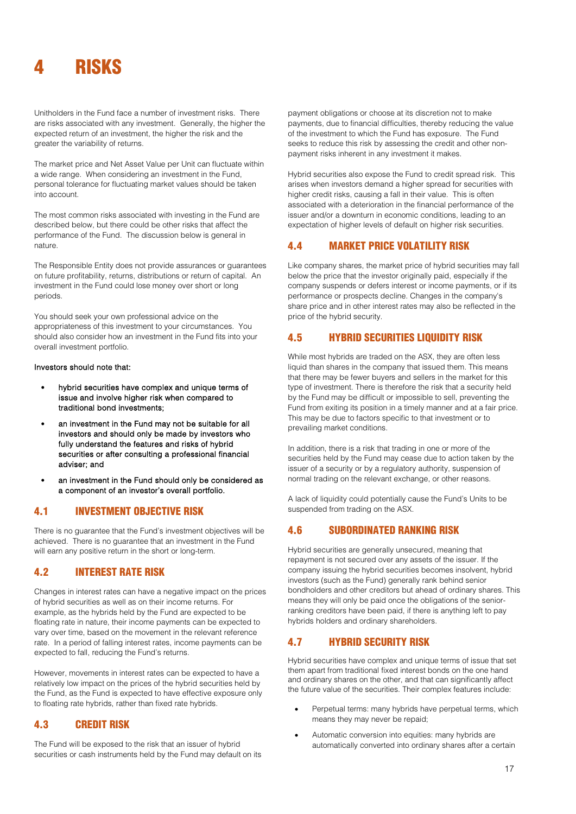<span id="page-16-0"></span>

Unitholders in the Fund face a number of investment risks. There are risks associated with any investment. Generally, the higher the expected return of an investment, the higher the risk and the greater the variability of returns.

The market price and Net Asset Value per Unit can fluctuate within a wide range. When considering an investment in the Fund, personal tolerance for fluctuating market values should be taken into account.

The most common risks associated with investing in the Fund are described below, but there could be other risks that affect the performance of the Fund. The discussion below is general in nature.

The Responsible Entity does not provide assurances or guarantees on future profitability, returns, distributions or return of capital. An investment in the Fund could lose money over short or long periods.

You should seek your own professional advice on the appropriateness of this investment to your circumstances. You should also consider how an investment in the Fund fits into your overall investment portfolio.

#### Investors should note that:

- hybrid securities have complex and unique terms of issue and involve higher risk when compared to traditional bond investments;
- an investment in the Fund may not be suitable for all investors and should only be made by investors who fully understand the features and risks of hybrid securities or after consulting a professional financial adviser; and
- an investment in the Fund should only be considered as a component of an investor's overall portfolio.

## 4.1 INVESTMENT OBJECTIVE RISK

There is no guarantee that the Fund's investment objectives will be achieved. There is no guarantee that an investment in the Fund will earn any positive return in the short or long-term.

## 4.2 INTEREST RATE RISK

Changes in interest rates can have a negative impact on the prices of hybrid securities as well as on their income returns. For example, as the hybrids held by the Fund are expected to be floating rate in nature, their income payments can be expected to vary over time, based on the movement in the relevant reference rate. In a period of falling interest rates, income payments can be expected to fall, reducing the Fund's returns.

However, movements in interest rates can be expected to have a relatively low impact on the prices of the hybrid securities held by the Fund, as the Fund is expected to have effective exposure only to floating rate hybrids, rather than fixed rate hybrids.

## 4.3 CREDIT RISK

The Fund will be exposed to the risk that an issuer of hybrid securities or cash instruments held by the Fund may default on its payment obligations or choose at its discretion not to make payments, due to financial difficulties, thereby reducing the value of the investment to which the Fund has exposure. The Fund seeks to reduce this risk by assessing the credit and other nonpayment risks inherent in any investment it makes.

Hybrid securities also expose the Fund to credit spread risk. This arises when investors demand a higher spread for securities with higher credit risks, causing a fall in their value. This is often associated with a deterioration in the financial performance of the issuer and/or a downturn in economic conditions, leading to an expectation of higher levels of default on higher risk securities.

## 4.4 MARKET PRICE VOLATILITY RISK

Like company shares, the market price of hybrid securities may fall below the price that the investor originally paid, especially if the company suspends or defers interest or income payments, or if its performance or prospects decline. Changes in the company's share price and in other interest rates may also be reflected in the price of the hybrid security.

## 4.5 HYBRID SECURITIES LIQUIDITY RISK

While most hybrids are traded on the ASX, they are often less liquid than shares in the company that issued them. This means that there may be fewer buyers and sellers in the market for this type of investment. There is therefore the risk that a security held by the Fund may be difficult or impossible to sell, preventing the Fund from exiting its position in a timely manner and at a fair price. This may be due to factors specific to that investment or to prevailing market conditions.

In addition, there is a risk that trading in one or more of the securities held by the Fund may cease due to action taken by the issuer of a security or by a regulatory authority, suspension of normal trading on the relevant exchange, or other reasons.

A lack of liquidity could potentially cause the Fund's Units to be suspended from trading on the ASX.

## 4.6 SUBORDINATED RANKING RISK

Hybrid securities are generally unsecured, meaning that repayment is not secured over any assets of the issuer. If the company issuing the hybrid securities becomes insolvent, hybrid investors (such as the Fund) generally rank behind senior bondholders and other creditors but ahead of ordinary shares. This means they will only be paid once the obligations of the seniorranking creditors have been paid, if there is anything left to pay hybrids holders and ordinary shareholders.

## 4.7 HYBRID SECURITY RISK

Hybrid securities have complex and unique terms of issue that set them apart from traditional fixed interest bonds on the one hand and ordinary shares on the other, and that can significantly affect the future value of the securities. Their complex features include:

- Perpetual terms: many hybrids have perpetual terms, which means they may never be repaid;
- Automatic conversion into equities: many hybrids are automatically converted into ordinary shares after a certain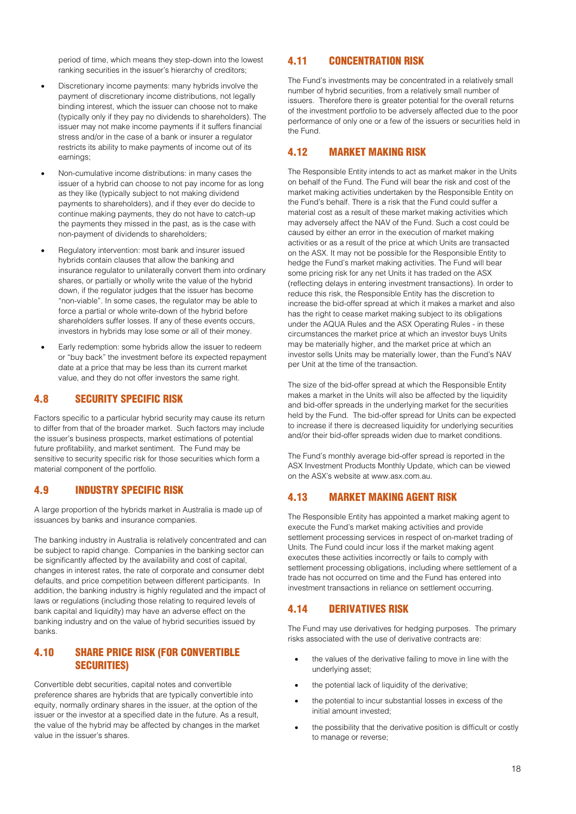period of time, which means they step-down into the lowest ranking securities in the issuer's hierarchy of creditors;

- Discretionary income payments: many hybrids involve the payment of discretionary income distributions, not legally binding interest, which the issuer can choose not to make (typically only if they pay no dividends to shareholders). The issuer may not make income payments if it suffers financial stress and/or in the case of a bank or insurer a regulator restricts its ability to make payments of income out of its earnings;
- Non-cumulative income distributions: in many cases the issuer of a hybrid can choose to not pay income for as long as they like (typically subject to not making dividend payments to shareholders), and if they ever do decide to continue making payments, they do not have to catch-up the payments they missed in the past, as is the case with non-payment of dividends to shareholders;
- Regulatory intervention: most bank and insurer issued hybrids contain clauses that allow the banking and insurance regulator to unilaterally convert them into ordinary shares, or partially or wholly write the value of the hybrid down, if the regulator judges that the issuer has become "non-viable". In some cases, the regulator may be able to force a partial or whole write-down of the hybrid before shareholders suffer losses. If any of these events occurs, investors in hybrids may lose some or all of their money.
- Early redemption: some hybrids allow the issuer to redeem or "buy back" the investment before its expected repayment date at a price that may be less than its current market value, and they do not offer investors the same right.

## 4.8 SECURITY SPECIFIC RISK

Factors specific to a particular hybrid security may cause its return to differ from that of the broader market. Such factors may include the issuer's business prospects, market estimations of potential future profitability, and market sentiment. The Fund may be sensitive to security specific risk for those securities which form a material component of the portfolio.

## 4.9 INDUSTRY SPECIFIC RISK

A large proportion of the hybrids market in Australia is made up of issuances by banks and insurance companies.

The banking industry in Australia is relatively concentrated and can be subject to rapid change. Companies in the banking sector can be significantly affected by the availability and cost of capital, changes in interest rates, the rate of corporate and consumer debt defaults, and price competition between different participants. In addition, the banking industry is highly regulated and the impact of laws or regulations (including those relating to required levels of bank capital and liquidity) may have an adverse effect on the banking industry and on the value of hybrid securities issued by banks.

## 4.10 SHARE PRICE RISK (FOR CONVERTIBLE SECURITIES)

Convertible debt securities, capital notes and convertible preference shares are hybrids that are typically convertible into equity, normally ordinary shares in the issuer, at the option of the issuer or the investor at a specified date in the future. As a result, the value of the hybrid may be affected by changes in the market value in the issuer's shares.

## 4.11 CONCENTRATION RISK

The Fund's investments may be concentrated in a relatively small number of hybrid securities, from a relatively small number of issuers. Therefore there is greater potential for the overall returns of the investment portfolio to be adversely affected due to the poor performance of only one or a few of the issuers or securities held in the Fund.

## 4.12 MARKET MAKING RISK

The Responsible Entity intends to act as market maker in the Units on behalf of the Fund. The Fund will bear the risk and cost of the market making activities undertaken by the Responsible Entity on the Fund's behalf. There is a risk that the Fund could suffer a material cost as a result of these market making activities which may adversely affect the NAV of the Fund. Such a cost could be caused by either an error in the execution of market making activities or as a result of the price at which Units are transacted on the ASX. It may not be possible for the Responsible Entity to hedge the Fund's market making activities. The Fund will bear some pricing risk for any net Units it has traded on the ASX (reflecting delays in entering investment transactions). In order to reduce this risk, the Responsible Entity has the discretion to increase the bid-offer spread at which it makes a market and also has the right to cease market making subject to its obligations under the AQUA Rules and the ASX Operating Rules - in these circumstances the market price at which an investor buys Units may be materially higher, and the market price at which an investor sells Units may be materially lower, than the Fund's NAV per Unit at the time of the transaction.

The size of the bid-offer spread at which the Responsible Entity makes a market in the Units will also be affected by the liquidity and bid-offer spreads in the underlying market for the securities held by the Fund. The bid-offer spread for Units can be expected to increase if there is decreased liquidity for underlying securities and/or their bid-offer spreads widen due to market conditions.

The Fund's monthly average bid-offer spread is reported in the ASX Investment Products Monthly Update, which can be viewed on the ASX's website at www.asx.com.au.

## 4.13 MARKET MAKING AGENT RISK

The Responsible Entity has appointed a market making agent to execute the Fund's market making activities and provide settlement processing services in respect of on-market trading of Units. The Fund could incur loss if the market making agent executes these activities incorrectly or fails to comply with settlement processing obligations, including where settlement of a trade has not occurred on time and the Fund has entered into investment transactions in reliance on settlement occurring.

## 4.14 DERIVATIVES RISK

The Fund may use derivatives for hedging purposes. The primary risks associated with the use of derivative contracts are:

- the values of the derivative failing to move in line with the underlying asset;
- the potential lack of liquidity of the derivative;
- the potential to incur substantial losses in excess of the initial amount invested;
- the possibility that the derivative position is difficult or costly to manage or reverse;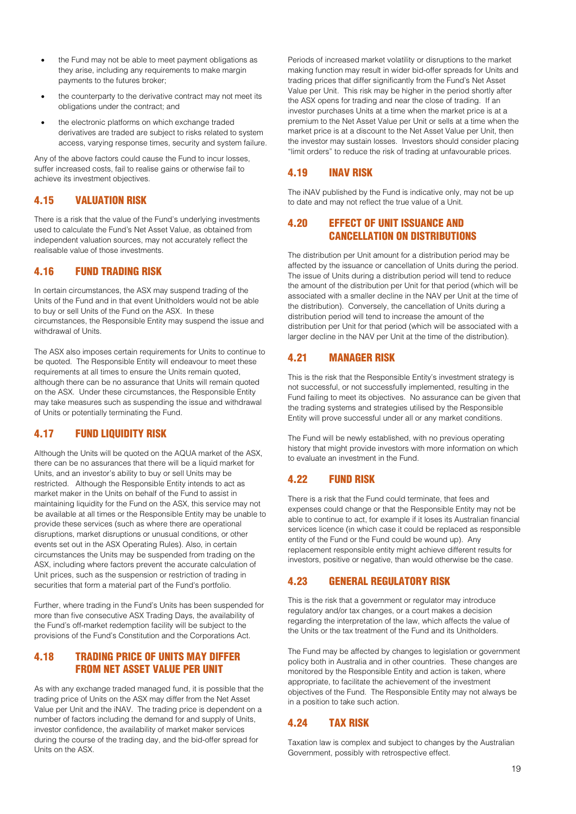- the Fund may not be able to meet payment obligations as they arise, including any requirements to make margin payments to the futures broker;
- the counterparty to the derivative contract may not meet its obligations under the contract; and
- the electronic platforms on which exchange traded derivatives are traded are subject to risks related to system access, varying response times, security and system failure.

Any of the above factors could cause the Fund to incur losses, suffer increased costs, fail to realise gains or otherwise fail to achieve its investment objectives.

## 4.15 VALUATION RISK

There is a risk that the value of the Fund's underlying investments used to calculate the Fund's Net Asset Value, as obtained from independent valuation sources, may not accurately reflect the realisable value of those investments.

## 4.16 FUND TRADING RISK

In certain circumstances, the ASX may suspend trading of the Units of the Fund and in that event Unitholders would not be able to buy or sell Units of the Fund on the ASX. In these circumstances, the Responsible Entity may suspend the issue and withdrawal of Units.

The ASX also imposes certain requirements for Units to continue to be quoted. The Responsible Entity will endeavour to meet these requirements at all times to ensure the Units remain quoted, although there can be no assurance that Units will remain quoted on the ASX. Under these circumstances, the Responsible Entity may take measures such as suspending the issue and withdrawal of Units or potentially terminating the Fund.

## 4.17 FUND LIQUIDITY RISK

Although the Units will be quoted on the AQUA market of the ASX, there can be no assurances that there will be a liquid market for Units, and an investor's ability to buy or sell Units may be restricted. Although the Responsible Entity intends to act as market maker in the Units on behalf of the Fund to assist in maintaining liquidity for the Fund on the ASX, this service may not be available at all times or the Responsible Entity may be unable to provide these services (such as where there are operational disruptions, market disruptions or unusual conditions, or other events set out in the ASX Operating Rules). Also, in certain circumstances the Units may be suspended from trading on the ASX, including where factors prevent the accurate calculation of Unit prices, such as the suspension or restriction of trading in securities that form a material part of the Fund's portfolio.

Further, where trading in the Fund's Units has been suspended for more than five consecutive ASX Trading Days, the availability of the Fund's off-market redemption facility will be subject to the provisions of the Fund's Constitution and the Corporations Act.

## 4.18 TRADING PRICE OF UNITS MAY DIFFER FROM NET ASSET VALUE PER UNIT

As with any exchange traded managed fund, it is possible that the trading price of Units on the ASX may differ from the Net Asset Value per Unit and the iNAV. The trading price is dependent on a number of factors including the demand for and supply of Units, investor confidence, the availability of market maker services during the course of the trading day, and the bid-offer spread for Units on the ASX.

Periods of increased market volatility or disruptions to the market making function may result in wider bid-offer spreads for Units and trading prices that differ significantly from the Fund's Net Asset Value per Unit. This risk may be higher in the period shortly after the ASX opens for trading and near the close of trading. If an investor purchases Units at a time when the market price is at a premium to the Net Asset Value per Unit or sells at a time when the market price is at a discount to the Net Asset Value per Unit, then the investor may sustain losses. Investors should consider placing "limit orders" to reduce the risk of trading at unfavourable prices.

## 4.19 INAV RISK

The iNAV published by the Fund is indicative only, may not be up to date and may not reflect the true value of a Unit.

## 4.20 EFFECT OF UNIT ISSUANCE AND CANCELLATION ON DISTRIBUTIONS

The distribution per Unit amount for a distribution period may be affected by the issuance or cancellation of Units during the period. The issue of Units during a distribution period will tend to reduce the amount of the distribution per Unit for that period (which will be associated with a smaller decline in the NAV per Unit at the time of the distribution). Conversely, the cancellation of Units during a distribution period will tend to increase the amount of the distribution per Unit for that period (which will be associated with a larger decline in the NAV per Unit at the time of the distribution).

## 4.21 MANAGER RISK

This is the risk that the Responsible Entity's investment strategy is not successful, or not successfully implemented, resulting in the Fund failing to meet its objectives. No assurance can be given that the trading systems and strategies utilised by the Responsible Entity will prove successful under all or any market conditions.

The Fund will be newly established, with no previous operating history that might provide investors with more information on which to evaluate an investment in the Fund.

## 4.22 FUND RISK

There is a risk that the Fund could terminate, that fees and expenses could change or that the Responsible Entity may not be able to continue to act, for example if it loses its Australian financial services licence (in which case it could be replaced as responsible entity of the Fund or the Fund could be wound up). Any replacement responsible entity might achieve different results for investors, positive or negative, than would otherwise be the case.

## 4.23 GENERAL REGULATORY RISK

This is the risk that a government or regulator may introduce regulatory and/or tax changes, or a court makes a decision regarding the interpretation of the law, which affects the value of the Units or the tax treatment of the Fund and its Unitholders.

The Fund may be affected by changes to legislation or government policy both in Australia and in other countries. These changes are monitored by the Responsible Entity and action is taken, where appropriate, to facilitate the achievement of the investment objectives of the Fund. The Responsible Entity may not always be in a position to take such action.

## 4.24 TAX RISK

Taxation law is complex and subject to changes by the Australian Government, possibly with retrospective effect.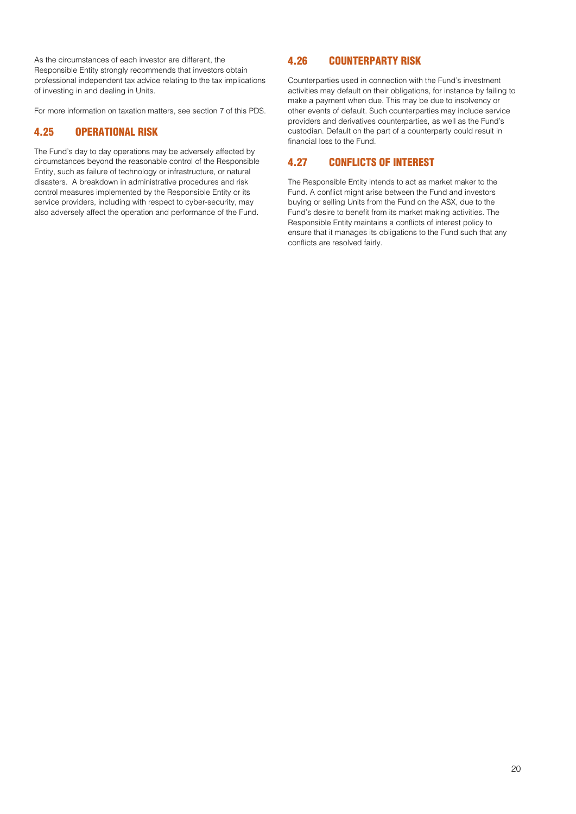As the circumstances of each investor are different, the Responsible Entity strongly recommends that investors obtain professional independent tax advice relating to the tax implications of investing in and dealing in Units.

For more information on taxation matters, see section 7 of this PDS.

## 4.25 OPERATIONAL RISK

The Fund's day to day operations may be adversely affected by circumstances beyond the reasonable control of the Responsible Entity, such as failure of technology or infrastructure, or natural disasters. A breakdown in administrative procedures and risk control measures implemented by the Responsible Entity or its service providers, including with respect to cyber-security, may also adversely affect the operation and performance of the Fund.

## 4.26 COUNTERPARTY RISK

Counterparties used in connection with the Fund's investment activities may default on their obligations, for instance by failing to make a payment when due. This may be due to insolvency or other events of default. Such counterparties may include service providers and derivatives counterparties, as well as the Fund's custodian. Default on the part of a counterparty could result in financial loss to the Fund.

## 4.27 CONFLICTS OF INTEREST

The Responsible Entity intends to act as market maker to the Fund. A conflict might arise between the Fund and investors buying or selling Units from the Fund on the ASX, due to the Fund's desire to benefit from its market making activities. The Responsible Entity maintains a conflicts of interest policy to ensure that it manages its obligations to the Fund such that any conflicts are resolved fairly.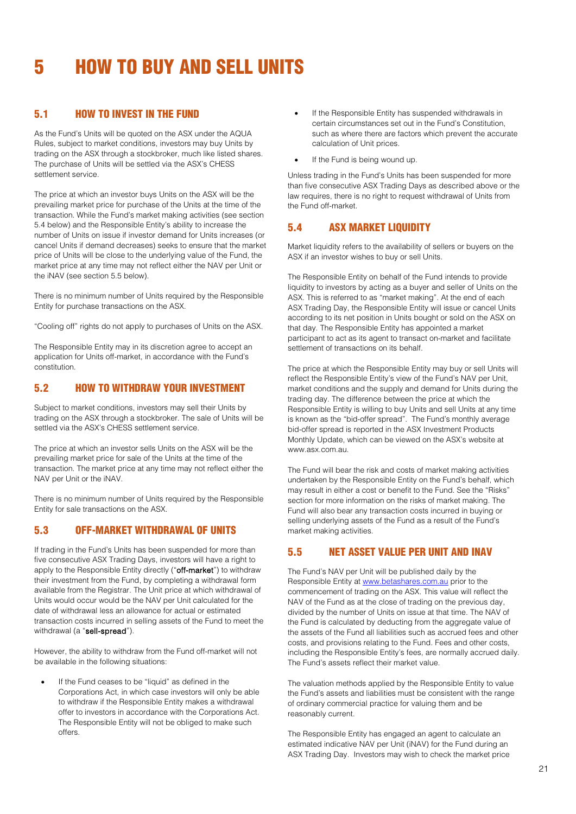## <span id="page-20-0"></span>5 HOW TO BUY AND SELL UNITS

## 5.1 HOW TO INVEST IN THE FUND

As the Fund's Units will be quoted on the ASX under the AQUA Rules, subject to market conditions, investors may buy Units by trading on the ASX through a stockbroker, much like listed shares. The purchase of Units will be settled via the ASX's CHESS settlement service.

The price at which an investor buys Units on the ASX will be the prevailing market price for purchase of the Units at the time of the transaction. While the Fund's market making activities (see section 5.4 below) and the Responsible Entity's ability to increase the number of Units on issue if investor demand for Units increases (or cancel Units if demand decreases) seeks to ensure that the market price of Units will be close to the underlying value of the Fund, the market price at any time may not reflect either the NAV per Unit or the iNAV (see section 5.5 below).

There is no minimum number of Units required by the Responsible Entity for purchase transactions on the ASX.

"Cooling off" rights do not apply to purchases of Units on the ASX.

The Responsible Entity may in its discretion agree to accept an application for Units off-market, in accordance with the Fund's constitution.

## 5.2 HOW TO WITHDRAW YOUR INVESTMENT

Subject to market conditions, investors may sell their Units by trading on the ASX through a stockbroker. The sale of Units will be settled via the ASX's CHESS settlement service.

The price at which an investor sells Units on the ASX will be the prevailing market price for sale of the Units at the time of the transaction. The market price at any time may not reflect either the NAV per Unit or the iNAV.

There is no minimum number of Units required by the Responsible Entity for sale transactions on the ASX.

## 5.3 OFF-MARKET WITHDRAWAL OF UNITS

If trading in the Fund's Units has been suspended for more than five consecutive ASX Trading Days, investors will have a right to apply to the Responsible Entity directly ("off-market") to withdraw their investment from the Fund, by completing a withdrawal form available from the Registrar. The Unit price at which withdrawal of Units would occur would be the NAV per Unit calculated for the date of withdrawal less an allowance for actual or estimated transaction costs incurred in selling assets of the Fund to meet the withdrawal (a "sell-spread").

However, the ability to withdraw from the Fund off-market will not be available in the following situations:

If the Fund ceases to be "liquid" as defined in the Corporations Act, in which case investors will only be able to withdraw if the Responsible Entity makes a withdrawal offer to investors in accordance with the Corporations Act. The Responsible Entity will not be obliged to make such offers.

- If the Responsible Entity has suspended withdrawals in certain circumstances set out in the Fund's Constitution, such as where there are factors which prevent the accurate calculation of Unit prices.
- If the Fund is being wound up.

Unless trading in the Fund's Units has been suspended for more than five consecutive ASX Trading Days as described above or the law requires, there is no right to request withdrawal of Units from the Fund off-market.

## 5.4 ASX MARKET LIQUIDITY

Market liquidity refers to the availability of sellers or buyers on the ASX if an investor wishes to buy or sell Units.

The Responsible Entity on behalf of the Fund intends to provide liquidity to investors by acting as a buyer and seller of Units on the ASX. This is referred to as "market making". At the end of each ASX Trading Day, the Responsible Entity will issue or cancel Units according to its net position in Units bought or sold on the ASX on that day. The Responsible Entity has appointed a market participant to act as its agent to transact on-market and facilitate settlement of transactions on its behalf.

The price at which the Responsible Entity may buy or sell Units will reflect the Responsible Entity's view of the Fund's NAV per Unit, market conditions and the supply and demand for Units during the trading day. The difference between the price at which the Responsible Entity is willing to buy Units and sell Units at any time is known as the "bid-offer spread". The Fund's monthly average bid-offer spread is reported in the ASX Investment Products Monthly Update, which can be viewed on the ASX's website at www.asx.com.au.

The Fund will bear the risk and costs of market making activities undertaken by the Responsible Entity on the Fund's behalf, which may result in either a cost or benefit to the Fund. See the "Risks" section for more information on the risks of market making. The Fund will also bear any transaction costs incurred in buying or selling underlying assets of the Fund as a result of the Fund's market making activities.

## 5.5 NET ASSET VALUE PER UNIT AND INAV

The Fund's NAV per Unit will be published daily by the Responsible Entity at [www.betashares.com.au](http://www.betashares.com.au/) prior to the commencement of trading on the ASX. This value will reflect the NAV of the Fund as at the close of trading on the previous day, divided by the number of Units on issue at that time. The NAV of the Fund is calculated by deducting from the aggregate value of the assets of the Fund all liabilities such as accrued fees and other costs, and provisions relating to the Fund. Fees and other costs, including the Responsible Entity's fees, are normally accrued daily. The Fund's assets reflect their market value.

The valuation methods applied by the Responsible Entity to value the Fund's assets and liabilities must be consistent with the range of ordinary commercial practice for valuing them and be reasonably current.

The Responsible Entity has engaged an agent to calculate an estimated indicative NAV per Unit (iNAV) for the Fund during an ASX Trading Day. Investors may wish to check the market price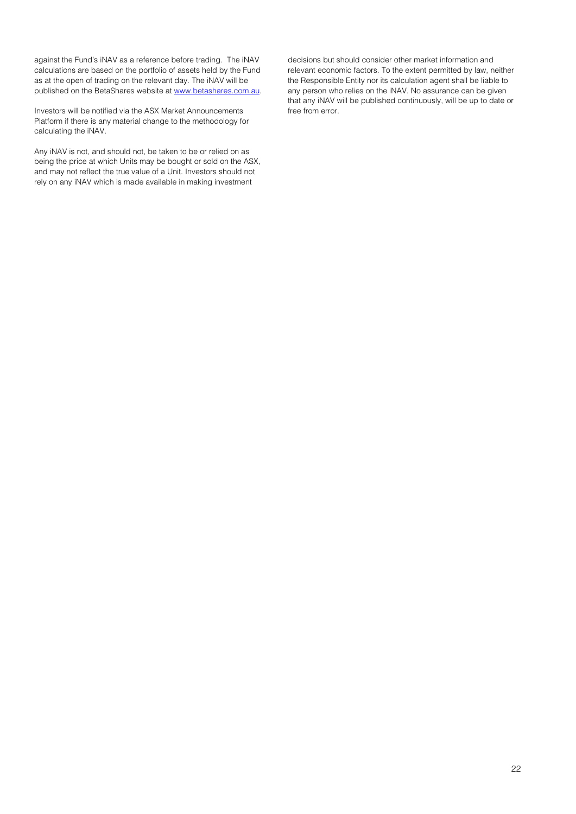against the Fund's iNAV as a reference before trading. The iNAV calculations are based on the portfolio of assets held by the Fund as at the open of trading on the relevant day. The iNAV will be published on the BetaShares website at [www.betashares.com.au.](http://www.betashares.com.au/)

Investors will be notified via the ASX Market Announcements Platform if there is any material change to the methodology for calculating the iNAV.

Any iNAV is not, and should not, be taken to be or relied on as being the price at which Units may be bought or sold on the ASX, and may not reflect the true value of a Unit. Investors should not rely on any iNAV which is made available in making investment

decisions but should consider other market information and relevant economic factors. To the extent permitted by law, neither the Responsible Entity nor its calculation agent shall be liable to any person who relies on the iNAV. No assurance can be given that any iNAV will be published continuously, will be up to date or free from error.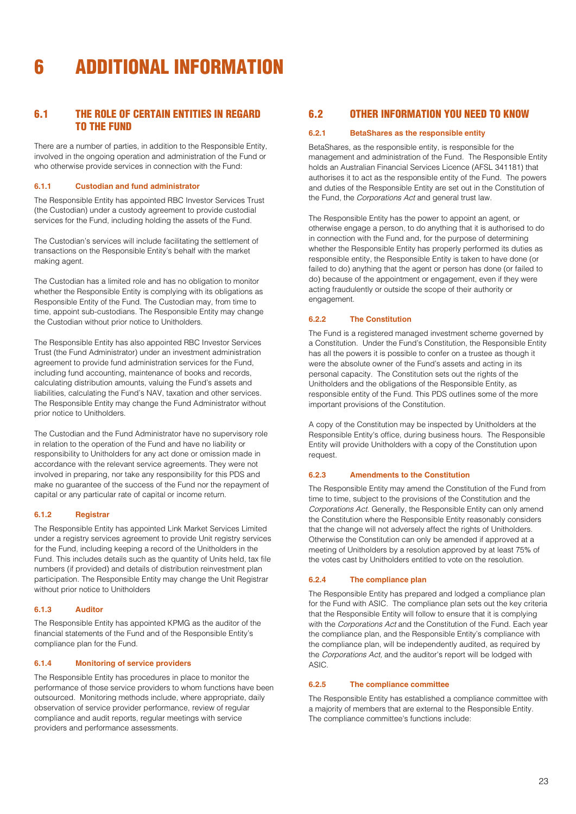## <span id="page-22-0"></span>6 ADDITIONAL INFORMATION

## 6.1 THE ROLE OF CERTAIN ENTITIES IN REGARD TO THE FUND

There are a number of parties, in addition to the Responsible Entity, involved in the ongoing operation and administration of the Fund or who otherwise provide services in connection with the Fund:

## **6.1.1 Custodian and fund administrator**

The Responsible Entity has appointed RBC Investor Services Trust (the Custodian) under a custody agreement to provide custodial services for the Fund, including holding the assets of the Fund.

The Custodian's services will include facilitating the settlement of transactions on the Responsible Entity's behalf with the market making agent.

The Custodian has a limited role and has no obligation to monitor whether the Responsible Entity is complying with its obligations as Responsible Entity of the Fund. The Custodian may, from time to time, appoint sub-custodians. The Responsible Entity may change the Custodian without prior notice to Unitholders.

The Responsible Entity has also appointed RBC Investor Services Trust (the Fund Administrator) under an investment administration agreement to provide fund administration services for the Fund, including fund accounting, maintenance of books and records, calculating distribution amounts, valuing the Fund's assets and liabilities, calculating the Fund's NAV, taxation and other services. The Responsible Entity may change the Fund Administrator without prior notice to Unitholders.

The Custodian and the Fund Administrator have no supervisory role in relation to the operation of the Fund and have no liability or responsibility to Unitholders for any act done or omission made in accordance with the relevant service agreements. They were not involved in preparing, nor take any responsibility for this PDS and make no guarantee of the success of the Fund nor the repayment of capital or any particular rate of capital or income return.

## **6.1.2 Registrar**

The Responsible Entity has appointed Link Market Services Limited under a registry services agreement to provide Unit registry services for the Fund, including keeping a record of the Unitholders in the Fund. This includes details such as the quantity of Units held, tax file numbers (if provided) and details of distribution reinvestment plan participation. The Responsible Entity may change the Unit Registrar without prior notice to Unitholders

## **6.1.3 Auditor**

The Responsible Entity has appointed KPMG as the auditor of the financial statements of the Fund and of the Responsible Entity's compliance plan for the Fund.

## **6.1.4 Monitoring of service providers**

The Responsible Entity has procedures in place to monitor the performance of those service providers to whom functions have been outsourced. Monitoring methods include, where appropriate, daily observation of service provider performance, review of regular compliance and audit reports, regular meetings with service providers and performance assessments.

## 6.2 OTHER INFORMATION YOU NEED TO KNOW

#### **6.2.1 BetaShares as the responsible entity**

BetaShares, as the responsible entity, is responsible for the management and administration of the Fund. The Responsible Entity holds an Australian Financial Services Licence (AFSL 341181) that authorises it to act as the responsible entity of the Fund. The powers and duties of the Responsible Entity are set out in the Constitution of the Fund, the *Corporations Act* and general trust law.

The Responsible Entity has the power to appoint an agent, or otherwise engage a person, to do anything that it is authorised to do in connection with the Fund and, for the purpose of determining whether the Responsible Entity has properly performed its duties as responsible entity, the Responsible Entity is taken to have done (or failed to do) anything that the agent or person has done (or failed to do) because of the appointment or engagement, even if they were acting fraudulently or outside the scope of their authority or engagement.

## **6.2.2 The Constitution**

The Fund is a registered managed investment scheme governed by a Constitution. Under the Fund's Constitution, the Responsible Entity has all the powers it is possible to confer on a trustee as though it were the absolute owner of the Fund's assets and acting in its personal capacity. The Constitution sets out the rights of the Unitholders and the obligations of the Responsible Entity, as responsible entity of the Fund. This PDS outlines some of the more important provisions of the Constitution.

A copy of the Constitution may be inspected by Unitholders at the Responsible Entity's office, during business hours. The Responsible Entity will provide Unitholders with a copy of the Constitution upon request.

## **6.2.3 Amendments to the Constitution**

The Responsible Entity may amend the Constitution of the Fund from time to time, subject to the provisions of the Constitution and the *Corporations Act.* Generally, the Responsible Entity can only amend the Constitution where the Responsible Entity reasonably considers that the change will not adversely affect the rights of Unitholders. Otherwise the Constitution can only be amended if approved at a meeting of Unitholders by a resolution approved by at least 75% of the votes cast by Unitholders entitled to vote on the resolution.

## **6.2.4 The compliance plan**

The Responsible Entity has prepared and lodged a compliance plan for the Fund with ASIC. The compliance plan sets out the key criteria that the Responsible Entity will follow to ensure that it is complying with the *Corporations Act* and the Constitution of the Fund. Each year the compliance plan, and the Responsible Entity's compliance with the compliance plan, will be independently audited, as required by the *Corporations Act,* and the auditor's report will be lodged with ASIC.

## **6.2.5 The compliance committee**

The Responsible Entity has established a compliance committee with a majority of members that are external to the Responsible Entity. The compliance committee's functions include: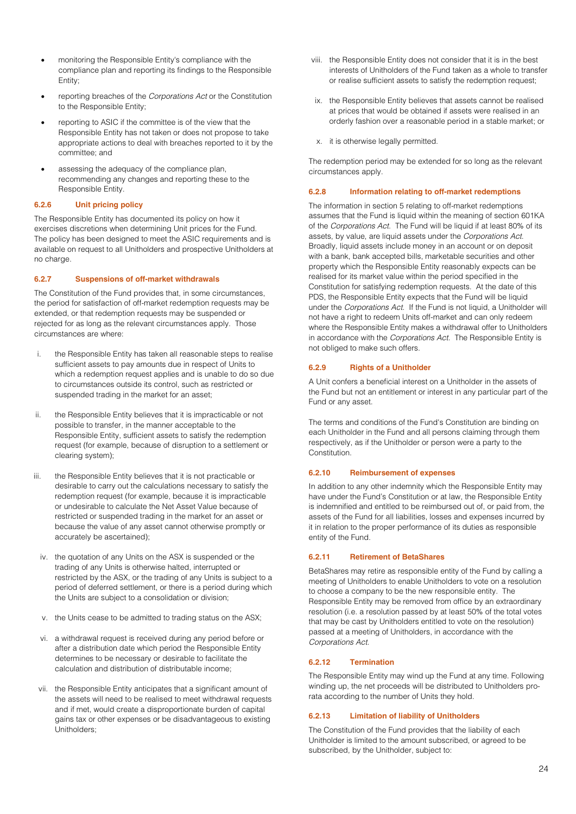- monitoring the Responsible Entity's compliance with the compliance plan and reporting its findings to the Responsible Entity;
- reporting breaches of the *Corporations Act* or the Constitution to the Responsible Entity;
- reporting to ASIC if the committee is of the view that the Responsible Entity has not taken or does not propose to take appropriate actions to deal with breaches reported to it by the committee; and
- assessing the adequacy of the compliance plan, recommending any changes and reporting these to the Responsible Entity.

## **6.2.6 Unit pricing policy**

The Responsible Entity has documented its policy on how it exercises discretions when determining Unit prices for the Fund. The policy has been designed to meet the ASIC requirements and is available on request to all Unitholders and prospective Unitholders at no charge.

#### **6.2.7 Suspensions of off-market withdrawals**

The Constitution of the Fund provides that, in some circumstances, the period for satisfaction of off-market redemption requests may be extended, or that redemption requests may be suspended or rejected for as long as the relevant circumstances apply. Those circumstances are where:

- i. the Responsible Entity has taken all reasonable steps to realise sufficient assets to pay amounts due in respect of Units to which a redemption request applies and is unable to do so due to circumstances outside its control, such as restricted or suspended trading in the market for an asset;
- ii. the Responsible Entity believes that it is impracticable or not possible to transfer, in the manner acceptable to the Responsible Entity, sufficient assets to satisfy the redemption request (for example, because of disruption to a settlement or clearing system);
- iii. the Responsible Entity believes that it is not practicable or desirable to carry out the calculations necessary to satisfy the redemption request (for example, because it is impracticable or undesirable to calculate the Net Asset Value because of restricted or suspended trading in the market for an asset or because the value of any asset cannot otherwise promptly or accurately be ascertained);
	- iv. the quotation of any Units on the ASX is suspended or the trading of any Units is otherwise halted, interrupted or restricted by the ASX, or the trading of any Units is subject to a period of deferred settlement, or there is a period during which the Units are subject to a consolidation or division;
	- v. the Units cease to be admitted to trading status on the ASX;
	- vi. a withdrawal request is received during any period before or after a distribution date which period the Responsible Entity determines to be necessary or desirable to facilitate the calculation and distribution of distributable income;
	- vii. the Responsible Entity anticipates that a significant amount of the assets will need to be realised to meet withdrawal requests and if met, would create a disproportionate burden of capital gains tax or other expenses or be disadvantageous to existing Unitholders;
- viii. the Responsible Entity does not consider that it is in the best interests of Unitholders of the Fund taken as a whole to transfer or realise sufficient assets to satisfy the redemption request;
- ix. the Responsible Entity believes that assets cannot be realised at prices that would be obtained if assets were realised in an orderly fashion over a reasonable period in a stable market; or
- x. it is otherwise legally permitted.

The redemption period may be extended for so long as the relevant circumstances apply.

#### **6.2.8 Information relating to off-market redemptions**

The information in section 5 relating to off-market redemptions assumes that the Fund is liquid within the meaning of section 601KA of the *Corporations Act*. The Fund will be liquid if at least 80% of its assets, by value, are liquid assets under the *Corporations Act*. Broadly, liquid assets include money in an account or on deposit with a bank, bank accepted bills, marketable securities and other property which the Responsible Entity reasonably expects can be realised for its market value within the period specified in the Constitution for satisfying redemption requests. At the date of this PDS, the Responsible Entity expects that the Fund will be liquid under the *Corporations Act*. If the Fund is not liquid, a Unitholder will not have a right to redeem Units off-market and can only redeem where the Responsible Entity makes a withdrawal offer to Unitholders in accordance with the *Corporations Act*. The Responsible Entity is not obliged to make such offers.

#### **6.2.9 Rights of a Unitholder**

A Unit confers a beneficial interest on a Unitholder in the assets of the Fund but not an entitlement or interest in any particular part of the Fund or any asset.

The terms and conditions of the Fund's Constitution are binding on each Unitholder in the Fund and all persons claiming through them respectively, as if the Unitholder or person were a party to the Constitution.

#### **6.2.10 Reimbursement of expenses**

In addition to any other indemnity which the Responsible Entity may have under the Fund's Constitution or at law, the Responsible Entity is indemnified and entitled to be reimbursed out of, or paid from, the assets of the Fund for all liabilities, losses and expenses incurred by it in relation to the proper performance of its duties as responsible entity of the Fund.

#### **6.2.11 Retirement of BetaShares**

BetaShares may retire as responsible entity of the Fund by calling a meeting of Unitholders to enable Unitholders to vote on a resolution to choose a company to be the new responsible entity. The Responsible Entity may be removed from office by an extraordinary resolution (i.e. a resolution passed by at least 50% of the total votes that may be cast by Unitholders entitled to vote on the resolution) passed at a meeting of Unitholders, in accordance with the *Corporations Act.* 

### **6.2.12 Termination**

The Responsible Entity may wind up the Fund at any time. Following winding up, the net proceeds will be distributed to Unitholders prorata according to the number of Units they hold.

## **6.2.13 Limitation of liability of Unitholders**

The Constitution of the Fund provides that the liability of each Unitholder is limited to the amount subscribed, or agreed to be subscribed, by the Unitholder, subject to: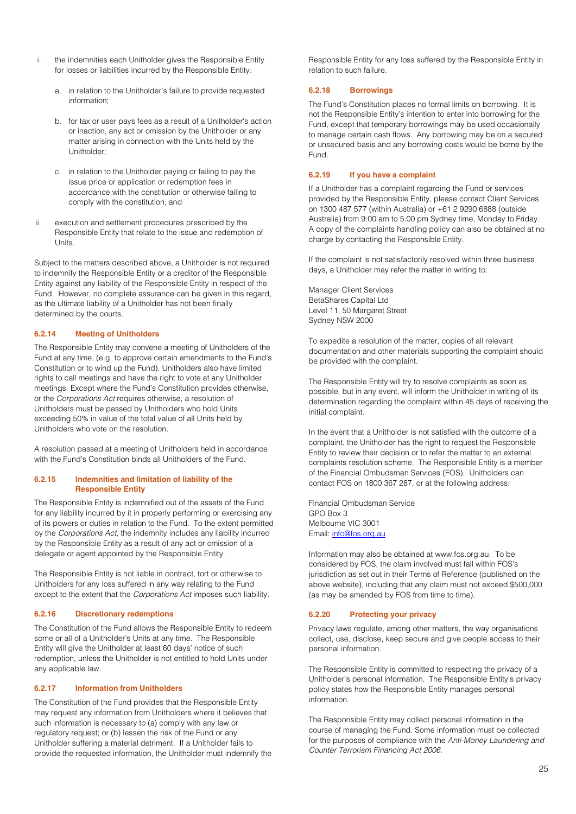- the indemnities each Unitholder gives the Responsible Entity for losses or liabilities incurred by the Responsible Entity:
	- a. in relation to the Unitholder's failure to provide requested information;
	- b. for tax or user pays fees as a result of a Unitholder's action or inaction, any act or omission by the Unitholder or any matter arising in connection with the Units held by the Unitholder;
	- c. in relation to the Unitholder paying or failing to pay the issue price or application or redemption fees in accordance with the constitution or otherwise failing to comply with the constitution; and
- ii. execution and settlement procedures prescribed by the Responsible Entity that relate to the issue and redemption of Units.

Subject to the matters described above, a Unitholder is not required to indemnify the Responsible Entity or a creditor of the Responsible Entity against any liability of the Responsible Entity in respect of the Fund. However, no complete assurance can be given in this regard, as the ultimate liability of a Unitholder has not been finally determined by the courts.

#### **6.2.14 Meeting of Unitholders**

The Responsible Entity may convene a meeting of Unitholders of the Fund at any time, (e.g. to approve certain amendments to the Fund's Constitution or to wind up the Fund). Unitholders also have limited rights to call meetings and have the right to vote at any Unitholder meetings. Except where the Fund's Constitution provides otherwise, or the *Corporations Act* requires otherwise, a resolution of Unitholders must be passed by Unitholders who hold Units exceeding 50% in value of the total value of all Units held by Unitholders who vote on the resolution.

A resolution passed at a meeting of Unitholders held in accordance with the Fund's Constitution binds all Unitholders of the Fund.

#### **6.2.15 Indemnities and limitation of liability of the Responsible Entity**

The Responsible Entity is indemnified out of the assets of the Fund for any liability incurred by it in properly performing or exercising any of its powers or duties in relation to the Fund. To the extent permitted by the *Corporations Act*, the indemnity includes any liability incurred by the Responsible Entity as a result of any act or omission of a delegate or agent appointed by the Responsible Entity.

The Responsible Entity is not liable in contract, tort or otherwise to Unitholders for any loss suffered in any way relating to the Fund except to the extent that the *Corporations Act* imposes such liability.

#### **6.2.16 Discretionary redemptions**

The Constitution of the Fund allows the Responsible Entity to redeem some or all of a Unitholder's Units at any time. The Responsible Entity will give the Unitholder at least 60 days' notice of such redemption, unless the Unitholder is not entitled to hold Units under any applicable law.

#### **6.2.17 Information from Unitholders**

The Constitution of the Fund provides that the Responsible Entity may request any information from Unitholders where it believes that such information is necessary to (a) comply with any law or regulatory request; or (b) lessen the risk of the Fund or any Unitholder suffering a material detriment. If a Unitholder fails to provide the requested information, the Unitholder must indemnify the

Responsible Entity for any loss suffered by the Responsible Entity in relation to such failure.

## **6.2.18 Borrowings**

The Fund's Constitution places no formal limits on borrowing. It is not the Responsible Entity's intention to enter into borrowing for the Fund, except that temporary borrowings may be used occasionally to manage certain cash flows. Any borrowing may be on a secured or unsecured basis and any borrowing costs would be borne by the Fund.

## **6.2.19 If you have a complaint**

If a Unitholder has a complaint regarding the Fund or services provided by the Responsible Entity, please contact Client Services on 1300 487 577 (within Australia) or +61 2 9290 6888 (outside Australia) from 9:00 am to 5:00 pm Sydney time, Monday to Friday. A copy of the complaints handling policy can also be obtained at no charge by contacting the Responsible Entity.

If the complaint is not satisfactorily resolved within three business days, a Unitholder may refer the matter in writing to:

Manager Client Services BetaShares Capital Ltd Level 11, 50 Margaret Street Sydney NSW 2000

To expedite a resolution of the matter, copies of all relevant documentation and other materials supporting the complaint should be provided with the complaint.

The Responsible Entity will try to resolve complaints as soon as possible, but in any event, will inform the Unitholder in writing of its determination regarding the complaint within 45 days of receiving the initial complaint.

In the event that a Unitholder is not satisfied with the outcome of a complaint, the Unitholder has the right to request the Responsible Entity to review their decision or to refer the matter to an external complaints resolution scheme. The Responsible Entity is a member of the Financial Ombudsman Services (FOS). Unitholders can contact FOS on 1800 367 287, or at the following address:

Financial Ombudsman Service GPO Box 3 Melbourne VIC 3001 Email: [info@fos.org.au](mailto:info@fos.org.au)

Information may also be obtained at www.fos.org.au. To be considered by FOS, the claim involved must fall within FOS's jurisdiction as set out in their Terms of Reference (published on the above website), including that any claim must not exceed \$500,000 (as may be amended by FOS from time to time).

## **6.2.20 Protecting your privacy**

Privacy laws regulate, among other matters, the way organisations collect, use, disclose, keep secure and give people access to their personal information.

The Responsible Entity is committed to respecting the privacy of a Unitholder's personal information. The Responsible Entity's privacy policy states how the Responsible Entity manages personal information.

The Responsible Entity may collect personal information in the course of managing the Fund. Some information must be collected for the purposes of compliance with the *Anti-Money Laundering and Counter Terrorism Financing Act 2006.*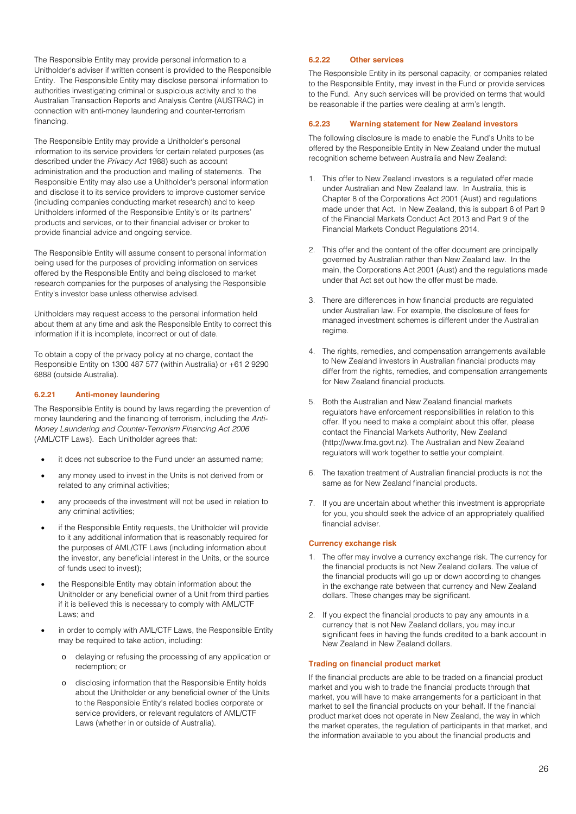The Responsible Entity may provide personal information to a Unitholder's adviser if written consent is provided to the Responsible Entity. The Responsible Entity may disclose personal information to authorities investigating criminal or suspicious activity and to the Australian Transaction Reports and Analysis Centre (AUSTRAC) in connection with anti-money laundering and counter-terrorism financing.

The Responsible Entity may provide a Unitholder's personal information to its service providers for certain related purposes (as described under the *Privacy Act* 1988) such as account administration and the production and mailing of statements. The Responsible Entity may also use a Unitholder's personal information and disclose it to its service providers to improve customer service (including companies conducting market research) and to keep Unitholders informed of the Responsible Entity's or its partners' products and services, or to their financial adviser or broker to provide financial advice and ongoing service.

The Responsible Entity will assume consent to personal information being used for the purposes of providing information on services offered by the Responsible Entity and being disclosed to market research companies for the purposes of analysing the Responsible Entity's investor base unless otherwise advised.

Unitholders may request access to the personal information held about them at any time and ask the Responsible Entity to correct this information if it is incomplete, incorrect or out of date.

To obtain a copy of the privacy policy at no charge, contact the Responsible Entity on 1300 487 577 (within Australia) or +61 2 9290 6888 (outside Australia).

#### **6.2.21 Anti-money laundering**

The Responsible Entity is bound by laws regarding the prevention of money laundering and the financing of terrorism, including the *Anti-Money Laundering and Counter-Terrorism Financing Act 2006*  (AML/CTF Laws). Each Unitholder agrees that:

- it does not subscribe to the Fund under an assumed name;
- any money used to invest in the Units is not derived from or related to any criminal activities;
- any proceeds of the investment will not be used in relation to any criminal activities;
- if the Responsible Entity requests, the Unitholder will provide to it any additional information that is reasonably required for the purposes of AML/CTF Laws (including information about the investor, any beneficial interest in the Units, or the source of funds used to invest);
- the Responsible Entity may obtain information about the Unitholder or any beneficial owner of a Unit from third parties if it is believed this is necessary to comply with AML/CTF Laws; and
- in order to comply with AML/CTF Laws, the Responsible Entity may be required to take action, including:
	- o delaying or refusing the processing of any application or redemption; or
	- o disclosing information that the Responsible Entity holds about the Unitholder or any beneficial owner of the Units to the Responsible Entity's related bodies corporate or service providers, or relevant regulators of AML/CTF Laws (whether in or outside of Australia).

#### **6.2.22 Other services**

The Responsible Entity in its personal capacity, or companies related to the Responsible Entity, may invest in the Fund or provide services to the Fund. Any such services will be provided on terms that would be reasonable if the parties were dealing at arm's length.

#### **6.2.23 Warning statement for New Zealand investors**

The following disclosure is made to enable the Fund's Units to be offered by the Responsible Entity in New Zealand under the mutual recognition scheme between Australia and New Zealand:

- 1. This offer to New Zealand investors is a regulated offer made under Australian and New Zealand law. In Australia, this is Chapter 8 of the Corporations Act 2001 (Aust) and regulations made under that Act. In New Zealand, this is subpart 6 of Part 9 of the Financial Markets Conduct Act 2013 and Part 9 of the Financial Markets Conduct Regulations 2014.
- 2. This offer and the content of the offer document are principally governed by Australian rather than New Zealand law. In the main, the Corporations Act 2001 (Aust) and the regulations made under that Act set out how the offer must be made.
- 3. There are differences in how financial products are regulated under Australian law. For example, the disclosure of fees for managed investment schemes is different under the Australian regime.
- 4. The rights, remedies, and compensation arrangements available to New Zealand investors in Australian financial products may differ from the rights, remedies, and compensation arrangements for New Zealand financial products.
- 5. Both the Australian and New Zealand financial markets regulators have enforcement responsibilities in relation to this offer. If you need to make a complaint about this offer, please contact the Financial Markets Authority, New Zealand [\(http://www.fma.govt.nz\)](http://www.fma.govt.nz/). The Australian and New Zealand regulators will work together to settle your complaint.
- 6. The taxation treatment of Australian financial products is not the same as for New Zealand financial products.
- 7. If you are uncertain about whether this investment is appropriate for you, you should seek the advice of an appropriately qualified financial adviser.

#### **Currency exchange risk**

- 1. The offer may involve a currency exchange risk. The currency for the financial products is not New Zealand dollars. The value of the financial products will go up or down according to changes in the exchange rate between that currency and New Zealand dollars. These changes may be significant.
- 2. If you expect the financial products to pay any amounts in a currency that is not New Zealand dollars, you may incur significant fees in having the funds credited to a bank account in New Zealand in New Zealand dollars.

#### **Trading on financial product market**

If the financial products are able to be traded on a financial product market and you wish to trade the financial products through that market, you will have to make arrangements for a participant in that market to sell the financial products on your behalf. If the financial product market does not operate in New Zealand, the way in which the market operates, the regulation of participants in that market, and the information available to you about the financial products and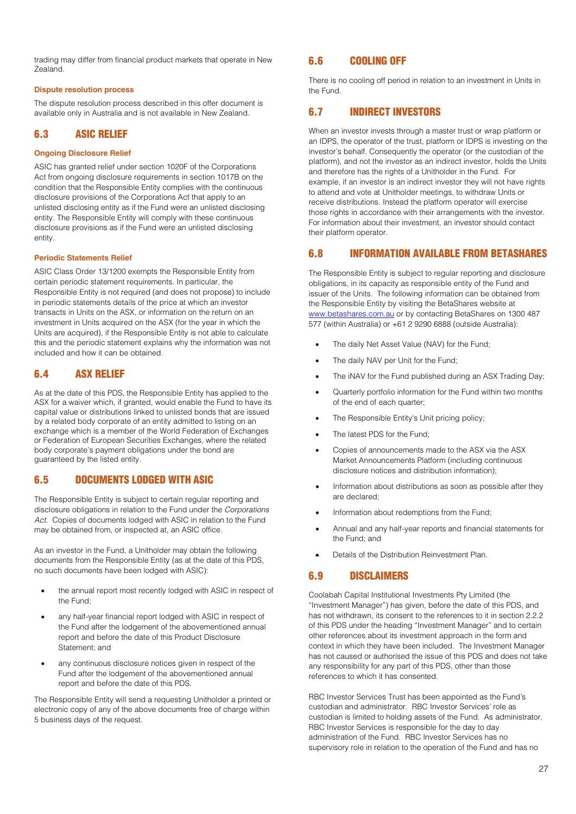trading may differ from financial product markets that operate in New Zealand.

## **Dispute resolution process**

The dispute resolution process described in this offer document is available only in Australia and is not available in New Zealand.

## 6.3 ASIC RELIEF

## **Ongoing Disclosure Relief**

ASIC has granted relief under section 1020F of the Corporations Act from ongoing disclosure requirements in section 1017B on the condition that the Responsible Entity complies with the continuous disclosure provisions of the Corporations Act that apply to an unlisted disclosing entity as if the Fund were an unlisted disclosing entity. The Responsible Entity will comply with these continuous disclosure provisions as if the Fund were an unlisted disclosing entity.

#### **Periodic Statements Relief**

ASIC Class Order 13/1200 exempts the Responsible Entity from certain periodic statement requirements. In particular, the Responsible Entity is not required (and does not propose) to include in periodic statements details of the price at which an investor transacts in Units on the ASX, or information on the return on an investment in Units acquired on the ASX (for the year in which the Units are acquired), if the Responsible Entity is not able to calculate this and the periodic statement explains why the information was not included and how it can be obtained.

## 6.4 ASX RELIEF

As at the date of this PDS, the Responsible Entity has applied to the ASX for a waiver which, if granted, would enable the Fund to have its capital value or distributions linked to unlisted bonds that are issued by a related body corporate of an entity admitted to listing on an exchange which is a member of the World Federation of Exchanges or Federation of European Securities Exchanges, where the related body corporate's payment obligations under the bond are guaranteed by the listed entity.

## 6.5 DOCUMENTS LODGED WITH ASIC

The Responsible Entity is subject to certain regular reporting and disclosure obligations in relation to the Fund under the *Corporations Act*. Copies of documents lodged with ASIC in relation to the Fund may be obtained from, or inspected at, an ASIC office.

As an investor in the Fund, a Unitholder may obtain the following documents from the Responsible Entity (as at the date of this PDS, no such documents have been lodged with ASIC):

- the annual report most recently lodged with ASIC in respect of the Fund;
- any half-year financial report lodged with ASIC in respect of the Fund after the lodgement of the abovementioned annual report and before the date of this Product Disclosure Statement; and
- any continuous disclosure notices given in respect of the Fund after the lodgement of the abovementioned annual report and before the date of this PDS.

The Responsible Entity will send a requesting Unitholder a printed or electronic copy of any of the above documents free of charge within 5 business days of the request.

## 6.6 COOLING OFF

There is no cooling off period in relation to an investment in Units in the Fund.

## 6.7 INDIRECT INVESTORS

When an investor invests through a master trust or wrap platform or an IDPS, the operator of the trust, platform or IDPS is investing on the investor's behalf. Consequently the operator (or the custodian of the platform), and not the investor as an indirect investor, holds the Units and therefore has the rights of a Unitholder in the Fund. For example, if an investor is an indirect investor they will not have rights to attend and vote at Unitholder meetings, to withdraw Units or receive distributions. Instead the platform operator will exercise those rights in accordance with their arrangements with the investor. For information about their investment, an investor should contact their platform operator.

## 6.8 INFORMATION AVAILABLE FROM BETASHARES

The Responsible Entity is subject to regular reporting and disclosure obligations, in its capacity as responsible entity of the Fund and issuer of the Units. The following information can be obtained from the Responsible Entity by visiting the BetaShares website at [www.betashares.com.au](http://www.betashares.com.au/) or by contacting BetaShares on 1300 487 577 (within Australia) or +61 2 9290 6888 (outside Australia):

- The daily Net Asset Value (NAV) for the Fund;
- The daily NAV per Unit for the Fund;
- The iNAV for the Fund published during an ASX Trading Day;
- Quarterly portfolio information for the Fund within two months of the end of each quarter;
- The Responsible Entity's Unit pricing policy;
- The latest PDS for the Fund:
- Copies of announcements made to the ASX via the ASX Market Announcements Platform (including continuous disclosure notices and distribution information);
- Information about distributions as soon as possible after they are declared;
- Information about redemptions from the Fund;
- Annual and any half-year reports and financial statements for the Fund; and
- Details of the Distribution Reinvestment Plan.

## 6.9 DISCLAIMERS

Coolabah Capital Institutional Investments Pty Limited (the "Investment Manager") has given, before the date of this PDS, and has not withdrawn, its consent to the references to it in section 2.2.2 of this PDS under the heading "Investment Manager" and to certain other references about its investment approach in the form and context in which they have been included. The Investment Manager has not caused or authorised the issue of this PDS and does not take any responsibility for any part of this PDS, other than those references to which it has consented.

RBC Investor Services Trust has been appointed as the Fund's custodian and administrator. RBC Investor Services' role as custodian is limited to holding assets of the Fund. As administrator, RBC Investor Services is responsible for the day to day administration of the Fund. RBC Investor Services has no supervisory role in relation to the operation of the Fund and has no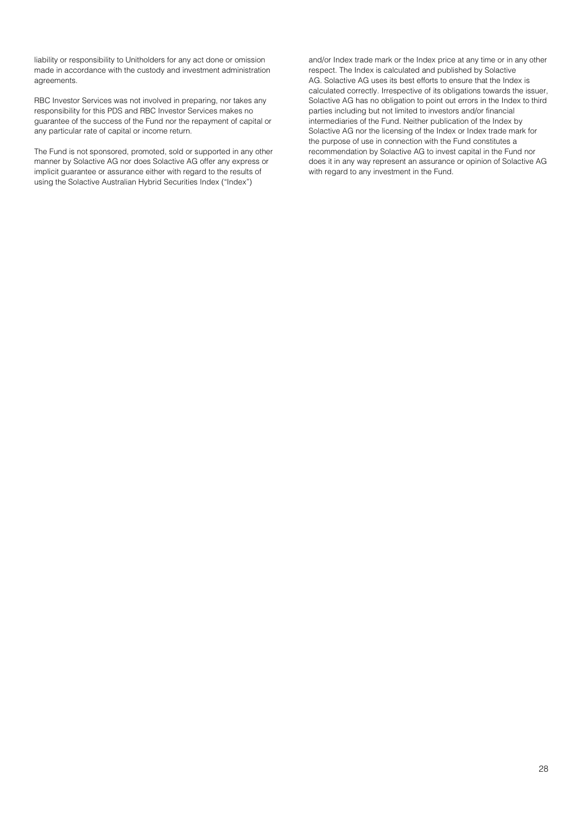liability or responsibility to Unitholders for any act done or omission made in accordance with the custody and investment administration agreements.

RBC Investor Services was not involved in preparing, nor takes any responsibility for this PDS and RBC Investor Services makes no guarantee of the success of the Fund nor the repayment of capital or any particular rate of capital or income return.

The Fund is not sponsored, promoted, sold or supported in any other manner by Solactive AG nor does Solactive AG offer any express or implicit guarantee or assurance either with regard to the results of using the Solactive Australian Hybrid Securities Index ("Index")

and/or Index trade mark or the Index price at any time or in any other respect. The Index is calculated and published by Solactive AG. Solactive AG uses its best efforts to ensure that the Index is calculated correctly. Irrespective of its obligations towards the issuer, Solactive AG has no obligation to point out errors in the Index to third parties including but not limited to investors and/or financial intermediaries of the Fund. Neither publication of the Index by Solactive AG nor the licensing of the Index or Index trade mark for the purpose of use in connection with the Fund constitutes a recommendation by Solactive AG to invest capital in the Fund nor does it in any way represent an assurance or opinion of Solactive AG with regard to any investment in the Fund.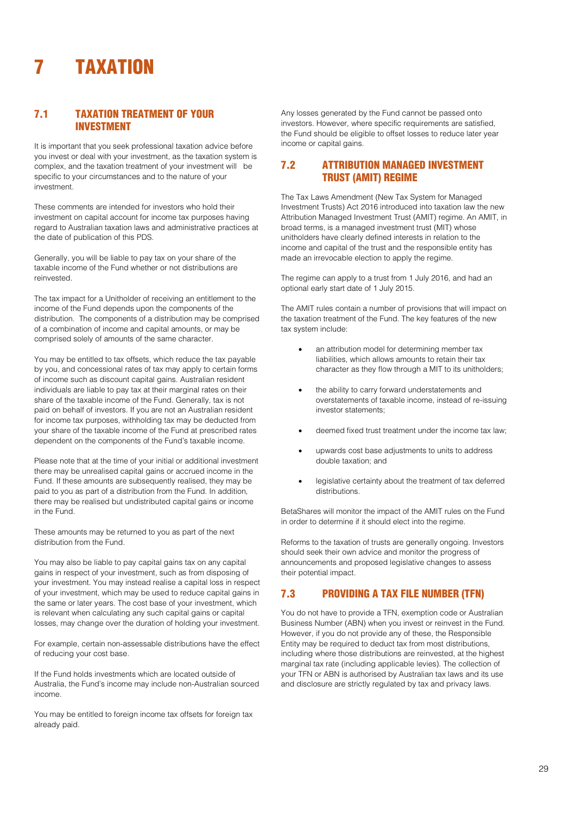## <span id="page-28-0"></span>**TAXATION**

## 7.1 TAXATION TREATMENT OF YOUR INVESTMENT

It is important that you seek professional taxation advice before you invest or deal with your investment, as the taxation system is complex, and the taxation treatment of your investment will be specific to your circumstances and to the nature of your investment.

These comments are intended for investors who hold their investment on capital account for income tax purposes having regard to Australian taxation laws and administrative practices at the date of publication of this PDS.

Generally, you will be liable to pay tax on your share of the taxable income of the Fund whether or not distributions are reinvested.

The tax impact for a Unitholder of receiving an entitlement to the income of the Fund depends upon the components of the distribution. The components of a distribution may be comprised of a combination of income and capital amounts, or may be comprised solely of amounts of the same character.

You may be entitled to tax offsets, which reduce the tax payable by you, and concessional rates of tax may apply to certain forms of income such as discount capital gains. Australian resident individuals are liable to pay tax at their marginal rates on their share of the taxable income of the Fund. Generally, tax is not paid on behalf of investors. If you are not an Australian resident for income tax purposes, withholding tax may be deducted from your share of the taxable income of the Fund at prescribed rates dependent on the components of the Fund's taxable income.

Please note that at the time of your initial or additional investment there may be unrealised capital gains or accrued income in the Fund. If these amounts are subsequently realised, they may be paid to you as part of a distribution from the Fund. In addition, there may be realised but undistributed capital gains or income in the Fund.

These amounts may be returned to you as part of the next distribution from the Fund.

You may also be liable to pay capital gains tax on any capital gains in respect of your investment, such as from disposing of your investment. You may instead realise a capital loss in respect of your investment, which may be used to reduce capital gains in the same or later years. The cost base of your investment, which is relevant when calculating any such capital gains or capital losses, may change over the duration of holding your investment.

For example, certain non-assessable distributions have the effect of reducing your cost base.

If the Fund holds investments which are located outside of Australia, the Fund's income may include non-Australian sourced income.

You may be entitled to foreign income tax offsets for foreign tax already paid.

Any losses generated by the Fund cannot be passed onto investors. However, where specific requirements are satisfied, the Fund should be eligible to offset losses to reduce later year income or capital gains.

## 7.2 ATTRIBUTION MANAGED INVESTMENT TRUST (AMIT) REGIME

The Tax Laws Amendment (New Tax System for Managed Investment Trusts) Act 2016 introduced into taxation law the new Attribution Managed Investment Trust (AMIT) regime. An AMIT, in broad terms, is a managed investment trust (MIT) whose unitholders have clearly defined interests in relation to the income and capital of the trust and the responsible entity has made an irrevocable election to apply the regime.

The regime can apply to a trust from 1 July 2016, and had an optional early start date of 1 July 2015.

The AMIT rules contain a number of provisions that will impact on the taxation treatment of the Fund. The key features of the new tax system include:

- an attribution model for determining member tax liabilities, which allows amounts to retain their tax character as they flow through a MIT to its unitholders;
- the ability to carry forward understatements and overstatements of taxable income, instead of re-issuing investor statements;
- deemed fixed trust treatment under the income tax law;
- upwards cost base adjustments to units to address double taxation; and
- legislative certainty about the treatment of tax deferred distributions.

BetaShares will monitor the impact of the AMIT rules on the Fund in order to determine if it should elect into the regime.

Reforms to the taxation of trusts are generally ongoing. Investors should seek their own advice and monitor the progress of announcements and proposed legislative changes to assess their potential impact.

## 7.3 PROVIDING A TAX FILE NUMBER (TFN)

You do not have to provide a TFN, exemption code or Australian Business Number (ABN) when you invest or reinvest in the Fund. However, if you do not provide any of these, the Responsible Entity may be required to deduct tax from most distributions, including where those distributions are reinvested, at the highest marginal tax rate (including applicable levies). The collection of your TFN or ABN is authorised by Australian tax laws and its use and disclosure are strictly regulated by tax and privacy laws.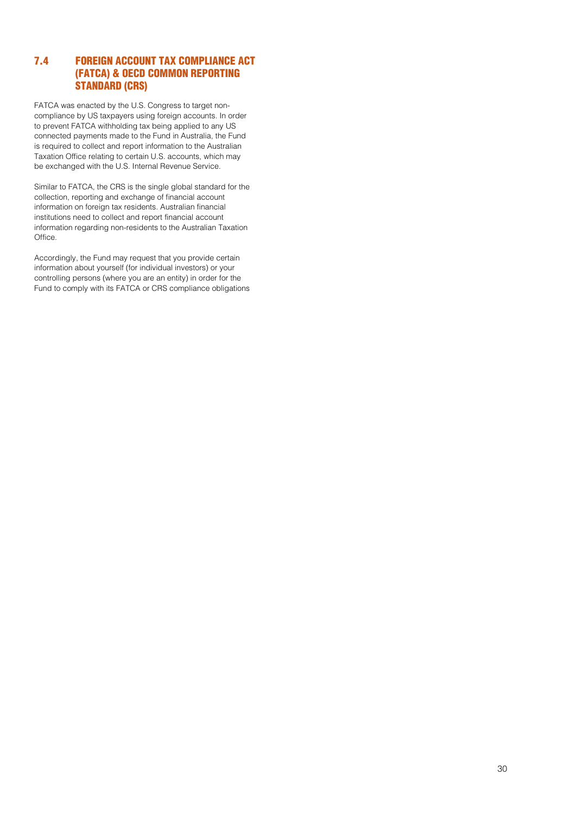## 7.4 FOREIGN ACCOUNT TAX COMPLIANCE ACT (FATCA) & OECD COMMON REPORTING STANDARD (CRS)

FATCA was enacted by the U.S. Congress to target noncompliance by US taxpayers using foreign accounts. In order to prevent FATCA withholding tax being applied to any US connected payments made to the Fund in Australia, the Fund is required to collect and report information to the Australian Taxation Office relating to certain U.S. accounts, which may be exchanged with the U.S. Internal Revenue Service.

Similar to FATCA, the CRS is the single global standard for the collection, reporting and exchange of financial account information on foreign tax residents. Australian financial institutions need to collect and report financial account information regarding non-residents to the Australian Taxation Office.

Accordingly, the Fund may request that you provide certain information about yourself (for individual investors) or your controlling persons (where you are an entity) in order for the Fund to comply with its FATCA or CRS compliance obligations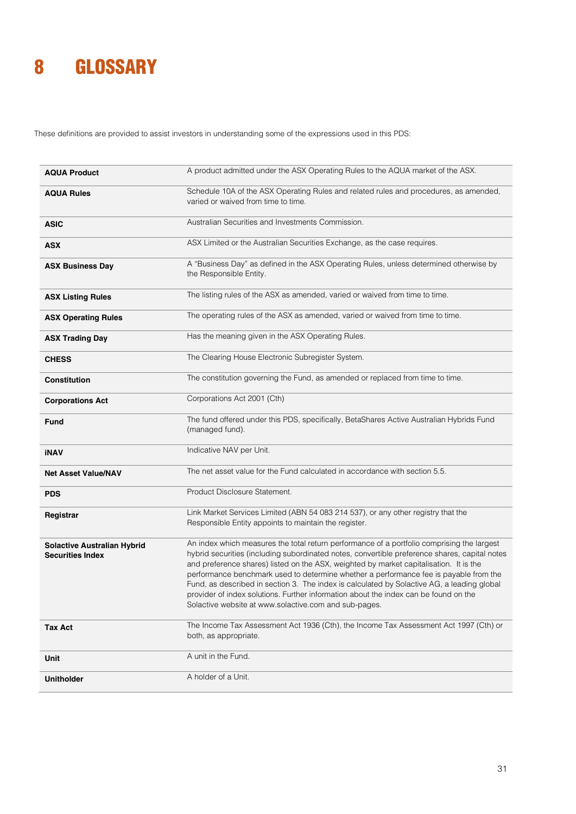## <span id="page-30-0"></span>8 GLOSSARY

These definitions are provided to assist investors in understanding some of the expressions used in this PDS:

| <b>AQUA Product</b>                                           | A product admitted under the ASX Operating Rules to the AQUA market of the ASX.                                                                                                                                                                                                                                                                                                                                                                                                                                                                                                                                               |  |  |
|---------------------------------------------------------------|-------------------------------------------------------------------------------------------------------------------------------------------------------------------------------------------------------------------------------------------------------------------------------------------------------------------------------------------------------------------------------------------------------------------------------------------------------------------------------------------------------------------------------------------------------------------------------------------------------------------------------|--|--|
| <b>AQUA Rules</b>                                             | Schedule 10A of the ASX Operating Rules and related rules and procedures, as amended,<br>varied or waived from time to time.                                                                                                                                                                                                                                                                                                                                                                                                                                                                                                  |  |  |
| <b>ASIC</b>                                                   | Australian Securities and Investments Commission.                                                                                                                                                                                                                                                                                                                                                                                                                                                                                                                                                                             |  |  |
| <b>ASX</b>                                                    | ASX Limited or the Australian Securities Exchange, as the case requires.                                                                                                                                                                                                                                                                                                                                                                                                                                                                                                                                                      |  |  |
| <b>ASX Business Day</b>                                       | A "Business Day" as defined in the ASX Operating Rules, unless determined otherwise by<br>the Responsible Entity.                                                                                                                                                                                                                                                                                                                                                                                                                                                                                                             |  |  |
| <b>ASX Listing Rules</b>                                      | The listing rules of the ASX as amended, varied or waived from time to time.                                                                                                                                                                                                                                                                                                                                                                                                                                                                                                                                                  |  |  |
| <b>ASX Operating Rules</b>                                    | The operating rules of the ASX as amended, varied or waived from time to time.                                                                                                                                                                                                                                                                                                                                                                                                                                                                                                                                                |  |  |
| <b>ASX Trading Day</b>                                        | Has the meaning given in the ASX Operating Rules.                                                                                                                                                                                                                                                                                                                                                                                                                                                                                                                                                                             |  |  |
| <b>CHESS</b>                                                  | The Clearing House Electronic Subregister System.                                                                                                                                                                                                                                                                                                                                                                                                                                                                                                                                                                             |  |  |
| <b>Constitution</b>                                           | The constitution governing the Fund, as amended or replaced from time to time.                                                                                                                                                                                                                                                                                                                                                                                                                                                                                                                                                |  |  |
| <b>Corporations Act</b>                                       | Corporations Act 2001 (Cth)                                                                                                                                                                                                                                                                                                                                                                                                                                                                                                                                                                                                   |  |  |
| Fund                                                          | The fund offered under this PDS, specifically, BetaShares Active Australian Hybrids Fund<br>(managed fund).                                                                                                                                                                                                                                                                                                                                                                                                                                                                                                                   |  |  |
| <b>iNAV</b>                                                   | Indicative NAV per Unit.                                                                                                                                                                                                                                                                                                                                                                                                                                                                                                                                                                                                      |  |  |
| <b>Net Asset Value/NAV</b>                                    | The net asset value for the Fund calculated in accordance with section 5.5.                                                                                                                                                                                                                                                                                                                                                                                                                                                                                                                                                   |  |  |
| <b>PDS</b>                                                    | Product Disclosure Statement.                                                                                                                                                                                                                                                                                                                                                                                                                                                                                                                                                                                                 |  |  |
| Registrar                                                     | Link Market Services Limited (ABN 54 083 214 537), or any other registry that the<br>Responsible Entity appoints to maintain the register.                                                                                                                                                                                                                                                                                                                                                                                                                                                                                    |  |  |
| <b>Solactive Australian Hybrid</b><br><b>Securities Index</b> | An index which measures the total return performance of a portfolio comprising the largest<br>hybrid securities (including subordinated notes, convertible preference shares, capital notes<br>and preference shares) listed on the ASX, weighted by market capitalisation. It is the<br>performance benchmark used to determine whether a performance fee is payable from the<br>Fund, as described in section 3. The index is calculated by Solactive AG, a leading global<br>provider of index solutions. Further information about the index can be found on the<br>Solactive website at www.solactive.com and sub-pages. |  |  |
| <b>Tax Act</b>                                                | The Income Tax Assessment Act 1936 (Cth), the Income Tax Assessment Act 1997 (Cth) or<br>both, as appropriate.                                                                                                                                                                                                                                                                                                                                                                                                                                                                                                                |  |  |
| Unit                                                          | A unit in the Fund.                                                                                                                                                                                                                                                                                                                                                                                                                                                                                                                                                                                                           |  |  |
| <b>Unitholder</b>                                             | A holder of a Unit.                                                                                                                                                                                                                                                                                                                                                                                                                                                                                                                                                                                                           |  |  |